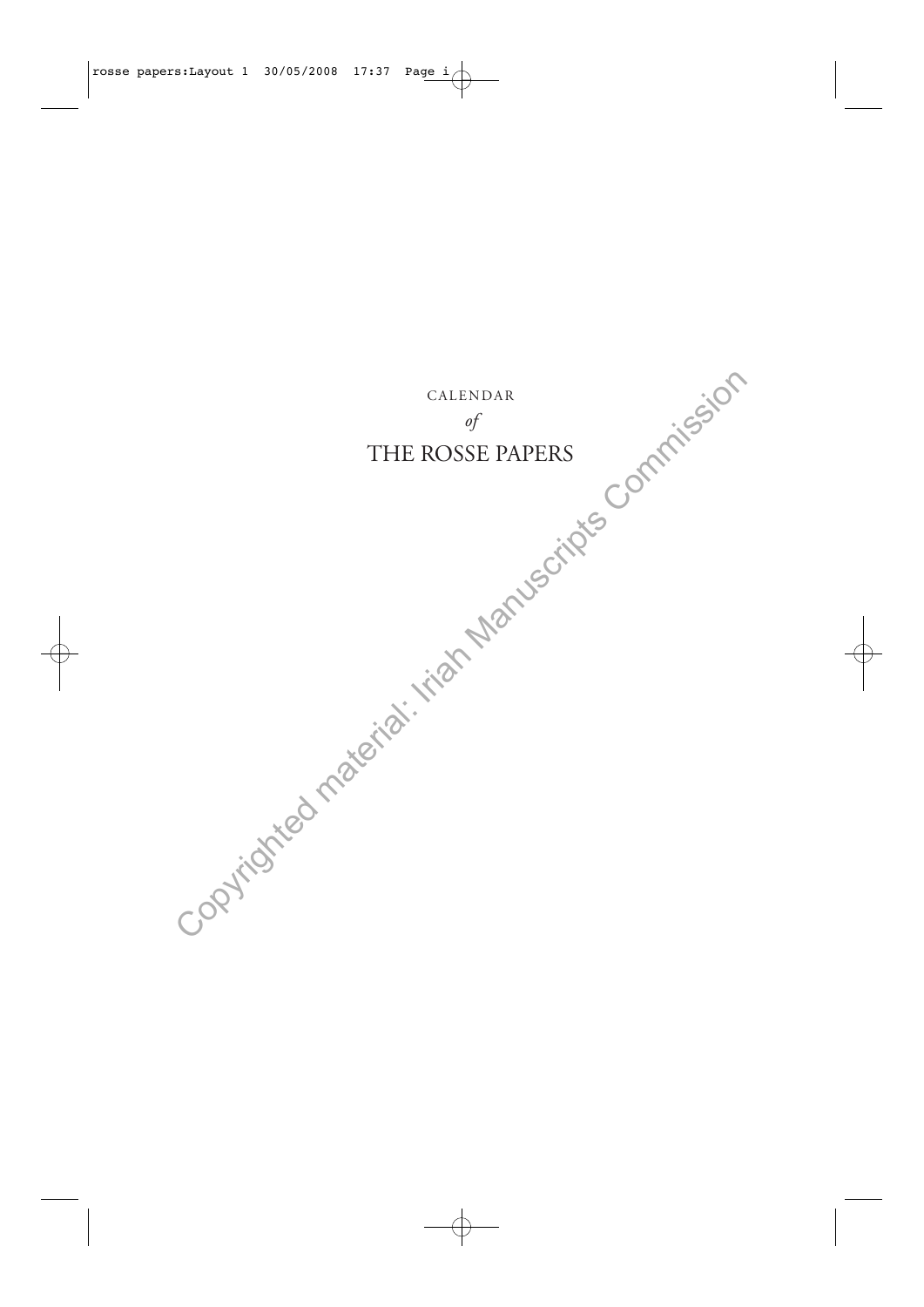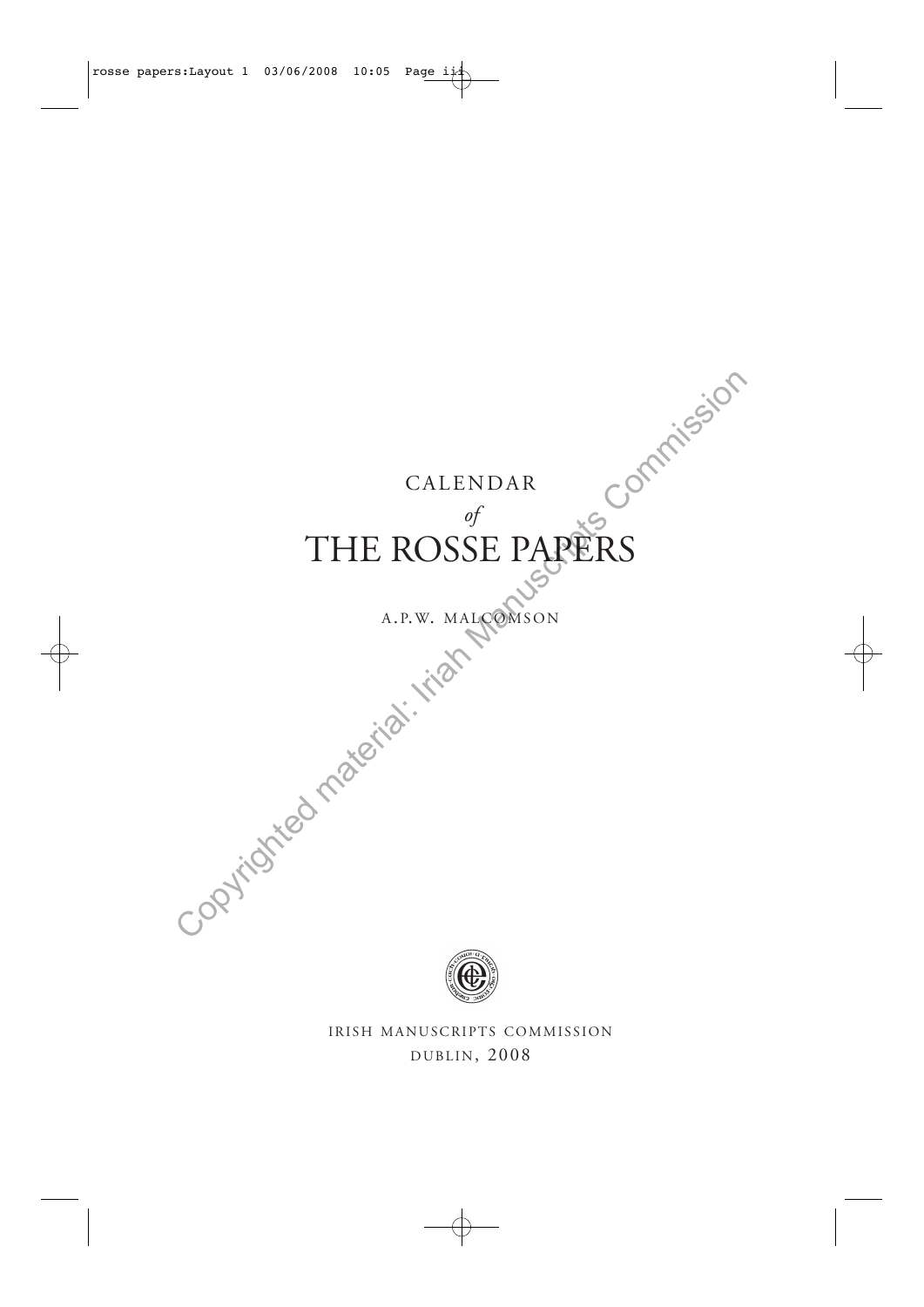## CALENDAR

# *of* THE ROSSE PAPERS Copyrighted material: Iriah Manuscripts Commission

## A.P.W. MALCOMSON



IRISH MANUSCRIPTS COMMISSION DUBLIN, 2008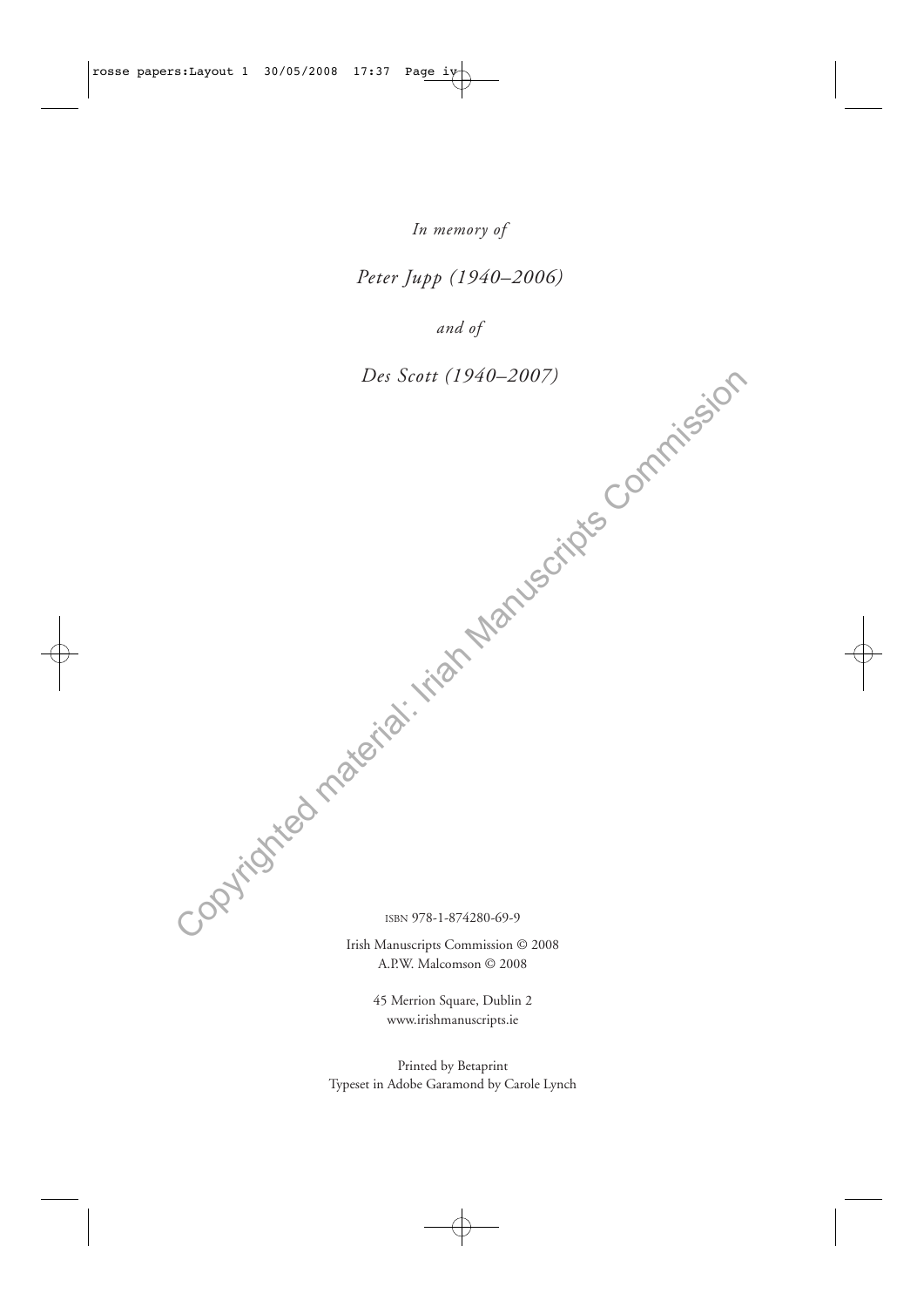*In memory of* 

*Peter Jupp (1940–2006)*

*and of*

*Des Scott (1940–2007)* Des Scott (1940-2007)<br>Des Scott (1940-2007)<br>Copyrighted material: Iriah Manuscripts Commission

ISBN 978-1-874280-69-9

Irish Manuscripts Commission © 2008 A.P.W. Malcomson © 2008

> 45 Merrion Square, Dublin 2 www.irishmanuscripts.ie

Printed by Betaprint Typeset in Adobe Garamond by Carole Lynch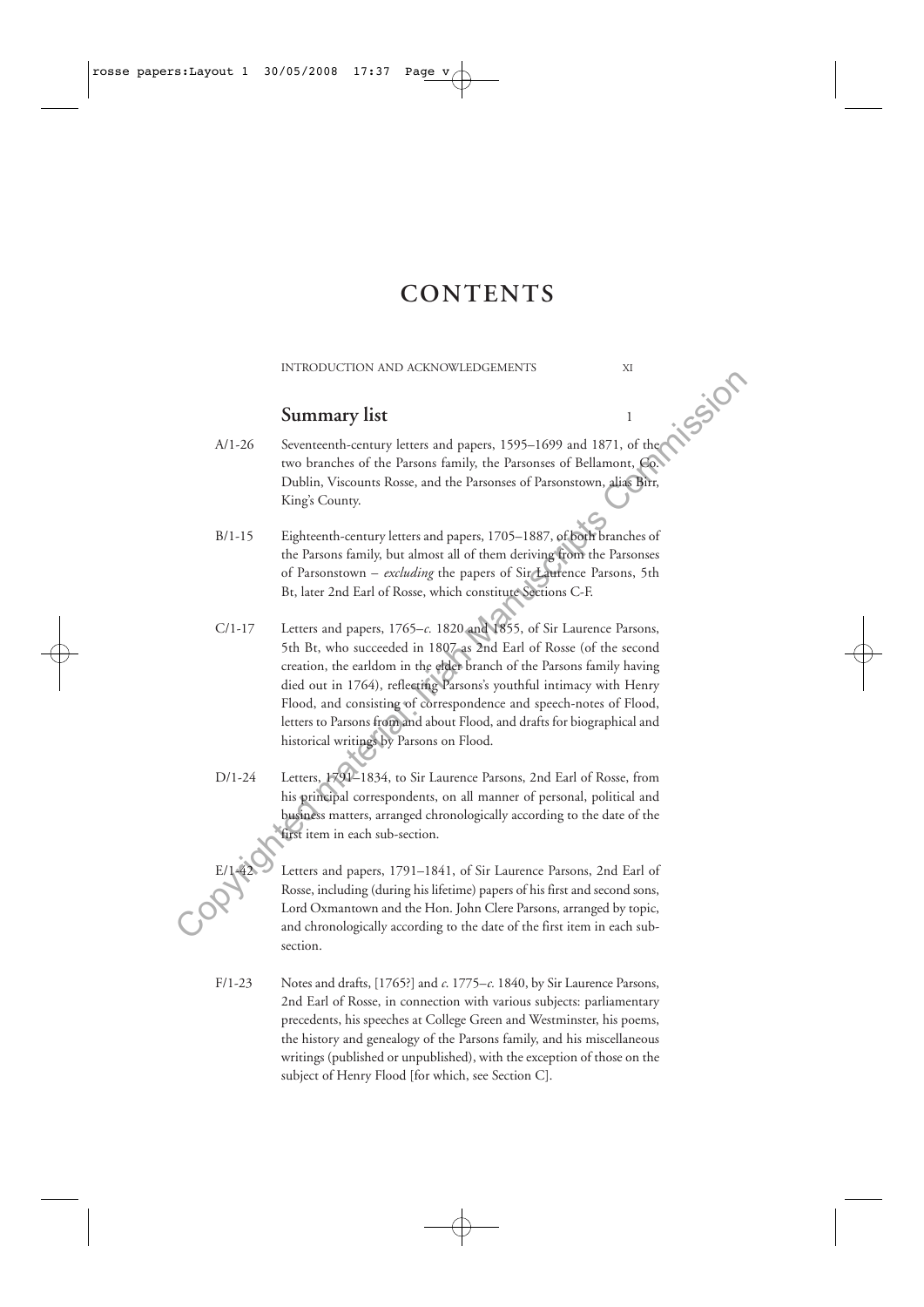# **CONTENTS**

#### INTRODUCTION AND ACKNOWLEDGEMENTS XI

### **Summary list** 1

- A/1-26 Seventeenth-century letters and papers, 1595-1699 and 1871, of the two branches of the Parsons family, the Parsonses of Bellamont, Co. Dublin, Viscounts Rosse, and the Parsonses of Parsonstown, alias Birr, King's County.
- B/1-15 Eighteenth-century letters and papers, 1705–1887, of both branches of the Parsons family, but almost all of them deriving from the Parsonses of Parsonstown – *excluding* the papers of Sir Laurence Parsons, 5th Bt, later 2nd Earl of Rosse, which constitute Sections C-F.
- C/1-17 Letters and papers, 1765–*c.* 1820 and 1855, of Sir Laurence Parsons, 5th Bt, who succeeded in 1807 as 2nd Earl of Rosse (of the second creation, the earldom in the elder branch of the Parsons family having died out in 1764), reflecting Parsons's youthful intimacy with Henry Flood, and consisting of correspondence and speech-notes of Flood, letters to Parsons from and about Flood, and drafts for biographical and historical writings by Parsons on Flood. **Summary list**<br>
Seventreenth-century letters and papers, 1595–1699 and 1871, of<br>
two branches of the Paramos finithy, the Parsonss Commission ( $\frac{1}{2}$ Commission Commission Commission Commission<br>
Eighteenth-century lette
	- D/1-24 Letters, 1791–1834, to Sir Laurence Parsons, 2nd Earl of Rosse, from his principal correspondents, on all manner of personal, political and business matters, arranged chronologically according to the date of the first item in each sub-section.
		- Letters and papers, 1791–1841, of Sir Laurence Parsons, 2nd Earl of Rosse, including (during his lifetime) papers of his first and second sons, Lord Oxmantown and the Hon. John Clere Parsons, arranged by topic, and chronologically according to the date of the first item in each subsection.
	- F/1-23 Notes and drafts, [1765?] and *c*. 1775–*c.* 1840, by Sir Laurence Parsons, 2nd Earl of Rosse, in connection with various subjects: parliamentary precedents, his speeches at College Green and Westminster, his poems, the history and genealogy of the Parsons family, and his miscellaneous writings (published or unpublished), with the exception of those on the subject of Henry Flood [for which, see Section C].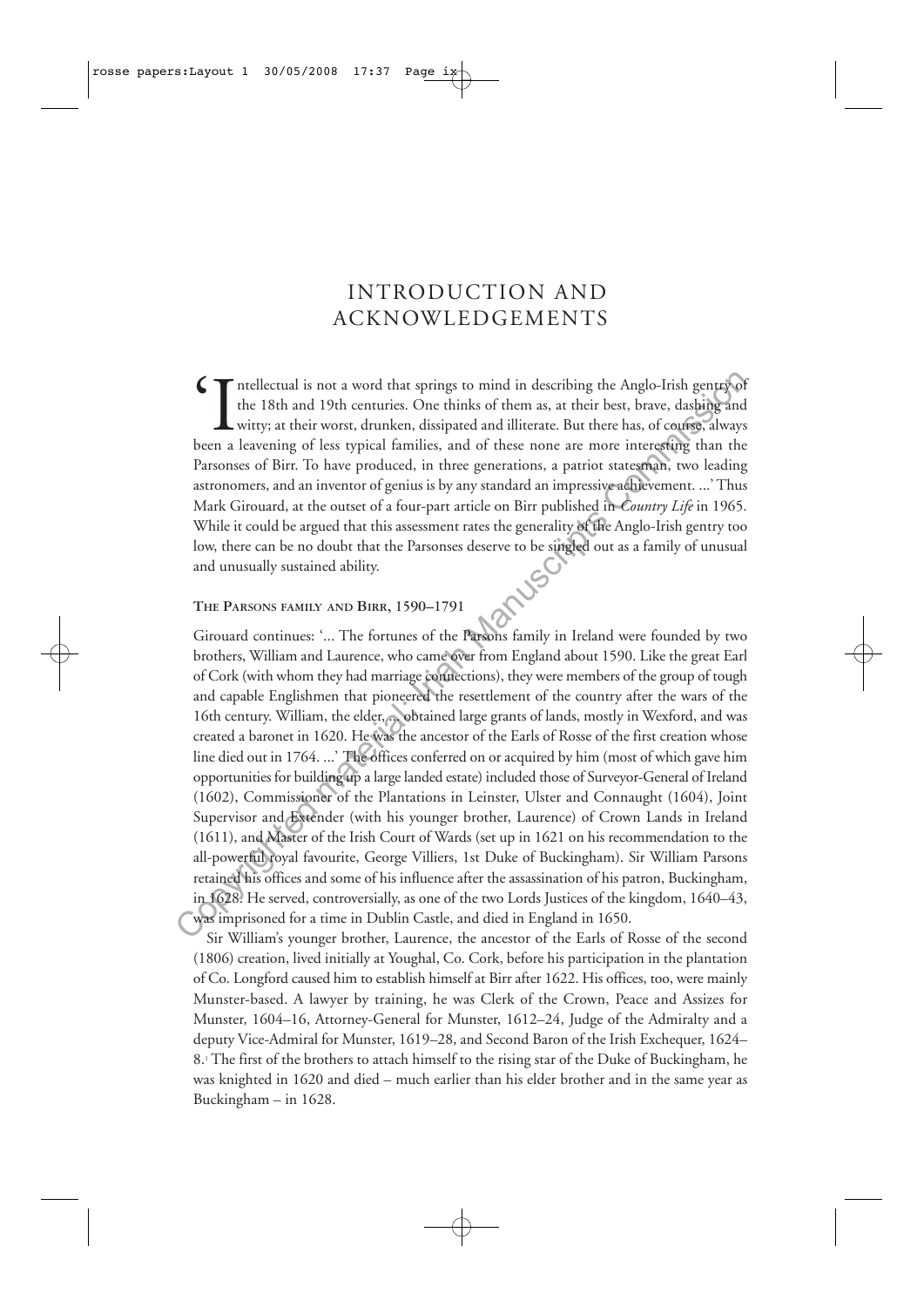# INTRODUCTION AND ACKNOWLEDGEMENTS

Intellectual is not a word that springs to mind in describing the Anglo-Irish gentry of the 18th and 19th centuries. One thinks of them as, at their best, brave, dashing and witty; at their worst, drunken, dissipated and i the 18th and 19th centuries. One thinks of them as, at their best, brave, dashing and witty; at their worst, drunken, dissipated and illiterate. But there has, of course, always been a leavening of less typical families, and of these none are more interesting than the Parsonses of Birr. To have produced, in three generations, a patriot statesman, two leading astronomers, and an inventor of genius is by any standard an impressive achievement. ...' Thus Mark Girouard, at the outset of a four-part article on Birr published in *Country Life* in 1965. While it could be argued that this assessment rates the generality of the Anglo-Irish gentry too low, there can be no doubt that the Parsonses deserve to be singled out as a family of unusual and unusually sustained ability.

#### **THE PARSONS FAMILY AND BIRR, 1590–1791**

Girouard continues: '... The fortunes of the Parsons family in Ireland were founded by two brothers, William and Laurence, who came over from England about 1590. Like the great Earl of Cork (with whom they had marriage connections), they were members of the group of tough and capable Englishmen that pioneered the resettlement of the country after the wars of the 16th century. William, the elder, ... obtained large grants of lands, mostly in Wexford, and was created a baronet in 1620. He was the ancestor of the Earls of Rosse of the first creation whose line died out in 1764. ...' The offices conferred on or acquired by him (most of which gave him opportunities for building up a large landed estate) included those of Surveyor-General of Ireland (1602), Commissioner of the Plantations in Leinster, Ulster and Connaught (1604), Joint Supervisor and Extender (with his younger brother, Laurence) of Crown Lands in Ireland (1611), and Master of the Irish Court of Wards (set up in 1621 on his recommendation to the all-powerful royal favourite, George Villiers, 1st Duke of Buckingham). Sir William Parsons retained his offices and some of his influence after the assassination of his patron, Buckingham, in 1628. He served, controversially, as one of the two Lords Justices of the kingdom, 1640–43, was imprisoned for a time in Dublin Castle, and died in England in 1650. Copyrighted is not a word that springs to mind in describing the Anglo-Irish generated<br>
Levi ISh and 19th centuries. One thinks of them as, at their best, brace, dashighted and<br>
lewitry, at their worst, dranken, dissipate

Sir William's younger brother, Laurence, the ancestor of the Earls of Rosse of the second (1806) creation, lived initially at Youghal, Co. Cork, before his participation in the plantation of Co. Longford caused him to establish himself at Birr after 1622. His offices, too, were mainly Munster-based. A lawyer by training, he was Clerk of the Crown, Peace and Assizes for Munster, 1604–16, Attorney-General for Munster, 1612–24, Judge of the Admiralty and a deputy Vice-Admiral for Munster, 1619–28, and Second Baron of the Irish Exchequer, 1624– 8.1 The first of the brothers to attach himself to the rising star of the Duke of Buckingham, he was knighted in 1620 and died – much earlier than his elder brother and in the same year as Buckingham – in 1628.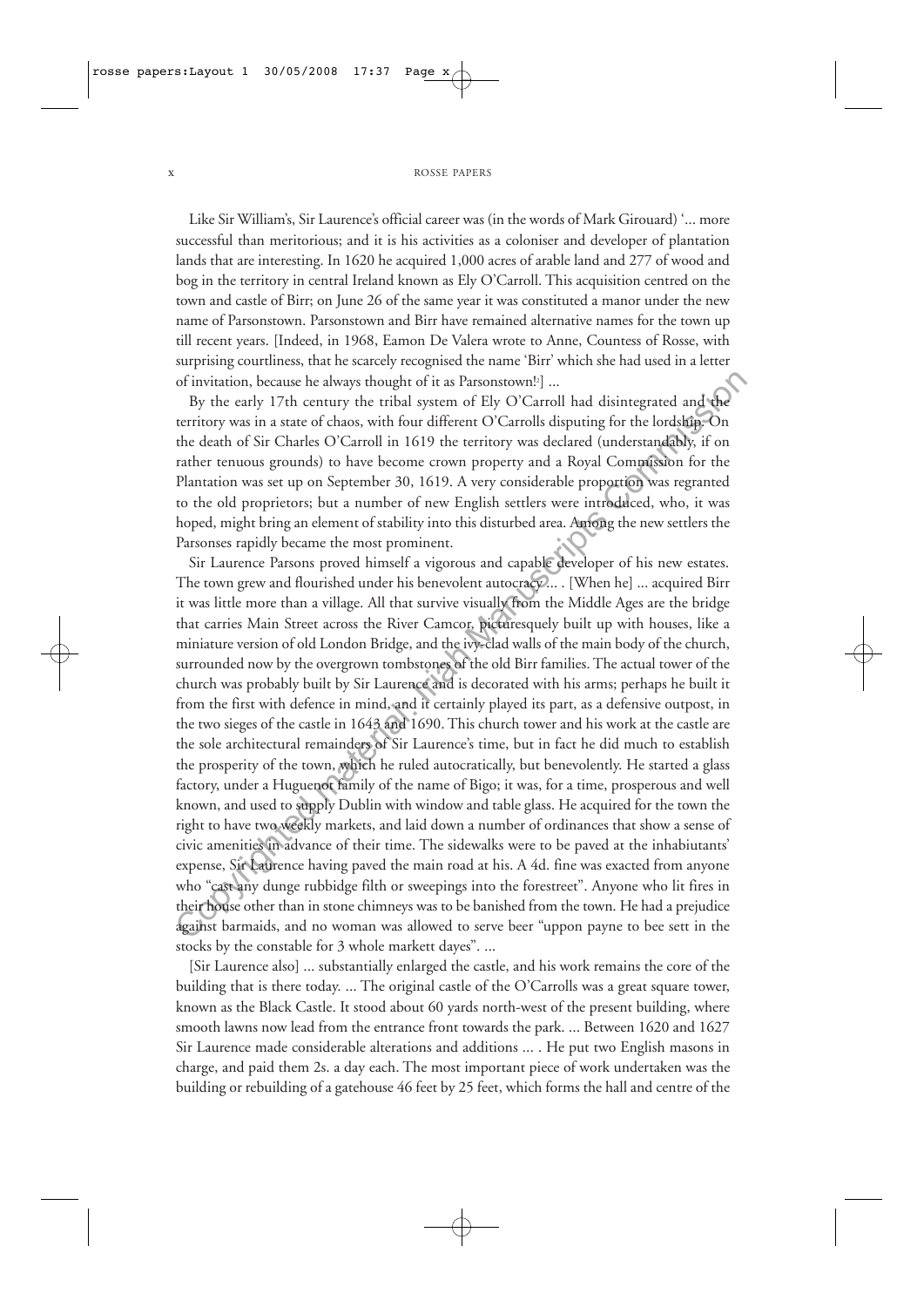Like Sir William's, Sir Laurence's official career was (in the words of Mark Girouard) '... more successful than meritorious; and it is his activities as a coloniser and developer of plantation lands that are interesting. In 1620 he acquired 1,000 acres of arable land and 277 of wood and bog in the territory in central Ireland known as Ely O'Carroll. This acquisition centred on the town and castle of Birr; on June 26 of the same year it was constituted a manor under the new name of Parsonstown. Parsonstown and Birr have remained alternative names for the town up till recent years. [Indeed, in 1968, Eamon De Valera wrote to Anne, Countess of Rosse, with surprising courtliness, that he scarcely recognised the name 'Birr' which she had used in a letter of invitation, because he always thought of it as Parsonstown!2 ] ...

By the early 17th century the tribal system of Ely O'Carroll had disintegrated and the territory was in a state of chaos, with four different O'Carrolls disputing for the lordship. On the death of Sir Charles O'Carroll in 1619 the territory was declared (understandably, if on rather tenuous grounds) to have become crown property and a Royal Commission for the Plantation was set up on September 30, 1619. A very considerable proportion was regranted to the old proprietors; but a number of new English settlers were introduced, who, it was hoped, might bring an element of stability into this disturbed area. Among the new settlers the Parsonses rapidly became the most prominent.

Sir Laurence Parsons proved himself a vigorous and capable developer of his new estates. The town grew and flourished under his benevolent autocracy... . [When he] ... acquired Birr it was little more than a village. All that survive visually from the Middle Ages are the bridge that carries Main Street across the River Camcor, picturesquely built up with houses, like a miniature version of old London Bridge, and the ivy-clad walls of the main body of the church, surrounded now by the overgrown tombstones of the old Birr families. The actual tower of the church was probably built by Sir Laurence and is decorated with his arms; perhaps he built it from the first with defence in mind, and it certainly played its part, as a defensive outpost, in the two sieges of the castle in 1643 and 1690. This church tower and his work at the castle are the sole architectural remainders of Sir Laurence's time, but in fact he did much to establish the prosperity of the town, which he ruled autocratically, but benevolently. He started a glass factory, under a Huguenot family of the name of Bigo; it was, for a time, prosperous and well known, and used to supply Dublin with window and table glass. He acquired for the town the right to have two weekly markets, and laid down a number of ordinances that show a sense of civic amenities in advance of their time. The sidewalks were to be paved at the inhabiutants' expense, Sir Laurence having paved the main road at his. A 4d. fine was exacted from anyone who "cast any dunge rubbidge filth or sweepings into the forestreet". Anyone who lit fires in their house other than in stone chimneys was to be banished from the town. He had a prejudice against barmaids, and no woman was allowed to serve beer "uppon payne to bee sett in the stocks by the constable for 3 whole markett dayes". ... of invitation, because he always thought of it as Parsonstown!<sup>1</sup>]...<br>By the calty 17 th century the tribul system of Ely O'Carroll had disintegrated and the<br>Ferritroy was in a state of chaos, with four different O'Carrol

[Sir Laurence also] ... substantially enlarged the castle, and his work remains the core of the building that is there today. ... The original castle of the O'Carrolls was a great square tower, known as the Black Castle. It stood about 60 yards north-west of the present building, where smooth lawns now lead from the entrance front towards the park. ... Between 1620 and 1627 Sir Laurence made considerable alterations and additions ... . He put two English masons in charge, and paid them 2s. a day each. The most important piece of work undertaken was the building or rebuilding of a gatehouse 46 feet by 25 feet, which forms the hall and centre of the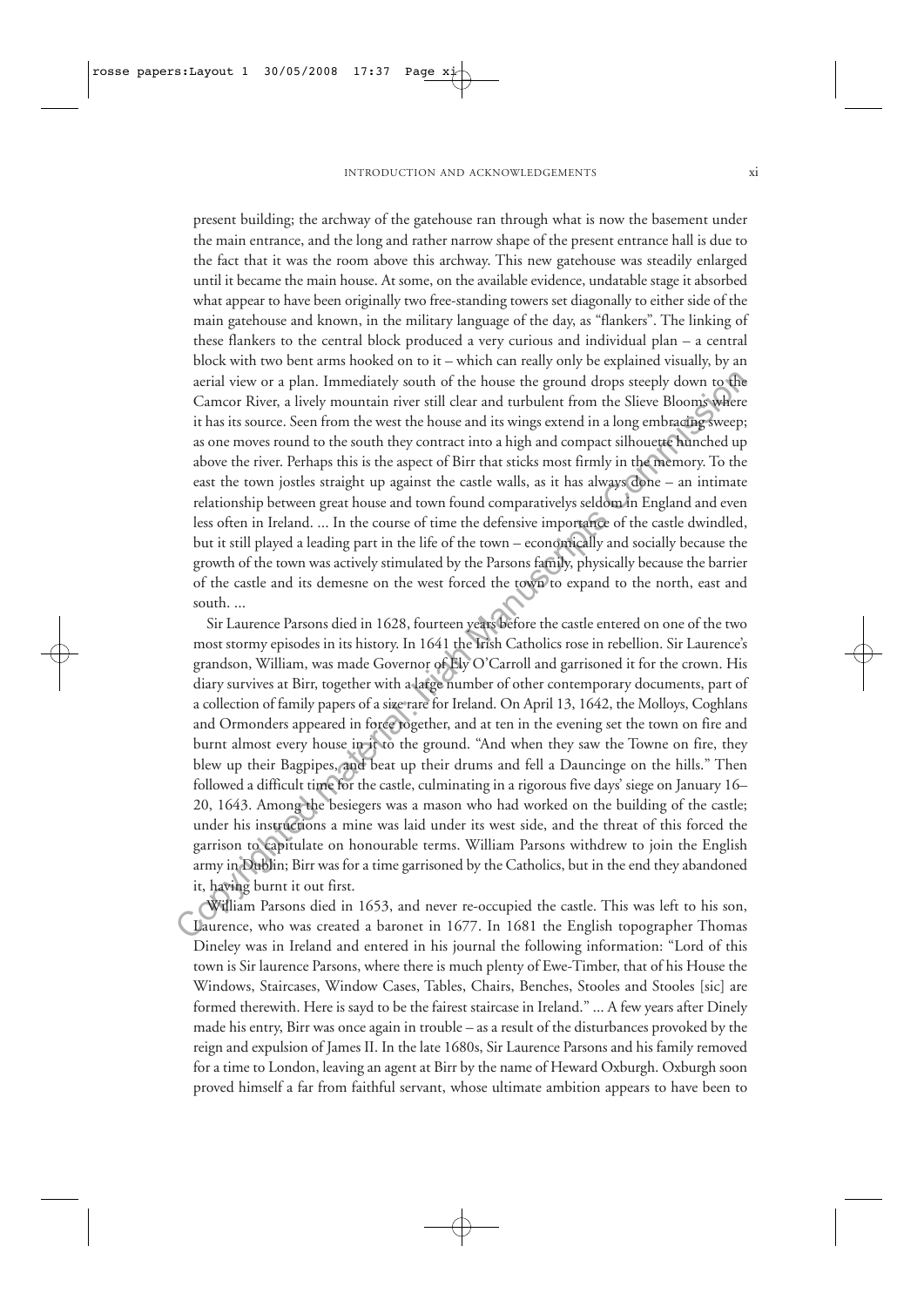present building; the archway of the gatehouse ran through what is now the basement under the main entrance, and the long and rather narrow shape of the present entrance hall is due to the fact that it was the room above this archway. This new gatehouse was steadily enlarged until it became the main house. At some, on the available evidence, undatable stage it absorbed what appear to have been originally two free-standing towers set diagonally to either side of the main gatehouse and known, in the military language of the day, as "flankers". The linking of these flankers to the central block produced a very curious and individual plan – a central block with two bent arms hooked on to it – which can really only be explained visually, by an aerial view or a plan. Immediately south of the house the ground drops steeply down to the Camcor River, a lively mountain river still clear and turbulent from the Slieve Blooms where it has its source. Seen from the west the house and its wings extend in a long embracing sweep; as one moves round to the south they contract into a high and compact silhouette hunched up above the river. Perhaps this is the aspect of Birr that sticks most firmly in the memory. To the east the town jostles straight up against the castle walls, as it has always done – an intimate relationship between great house and town found comparativelys seldom in England and even less often in Ireland. ... In the course of time the defensive importance of the castle dwindled, but it still played a leading part in the life of the town – economically and socially because the growth of the town was actively stimulated by the Parsons family, physically because the barrier of the castle and its demesne on the west forced the town to expand to the north, east and south. ...

Sir Laurence Parsons died in 1628, fourteen years before the castle entered on one of the two most stormy episodes in its history. In 1641 the Irish Catholics rose in rebellion. Sir Laurence's grandson, William, was made Governor of Ely O'Carroll and garrisoned it for the crown. His diary survives at Birr, together with a large number of other contemporary documents, part of a collection of family papers of a size rare for Ireland. On April 13, 1642, the Molloys, Coghlans and Ormonders appeared in force together, and at ten in the evening set the town on fire and burnt almost every house in it to the ground. "And when they saw the Towne on fire, they blew up their Bagpipes, and beat up their drums and fell a Dauncinge on the hills." Then followed a difficult time for the castle, culminating in a rigorous five days' siege on January 16– 20, 1643. Among the besiegers was a mason who had worked on the building of the castle; under his instructions a mine was laid under its west side, and the threat of this forced the garrison to capitulate on honourable terms. William Parsons withdrew to join the English army in Dublin; Birr was for a time garrisoned by the Catholics, but in the end they abandoned it, having burnt it out first. acrial view or a plan. Immediately south of the house the ground drops steeply down to the change of material common kine was relibed and unbulant from the Slivet Bloomy where so one moves round to the south they contract

William Parsons died in 1653, and never re-occupied the castle. This was left to his son, Laurence, who was created a baronet in 1677. In 1681 the English topographer Thomas Dineley was in Ireland and entered in his journal the following information: "Lord of this town is Sir laurence Parsons, where there is much plenty of Ewe-Timber, that of his House the Windows, Staircases, Window Cases, Tables, Chairs, Benches, Stooles and Stooles [sic] are formed therewith. Here is sayd to be the fairest staircase in Ireland." ... A few years after Dinely made his entry, Birr was once again in trouble – as a result of the disturbances provoked by the reign and expulsion of James II. In the late 1680s, Sir Laurence Parsons and his family removed for a time to London, leaving an agent at Birr by the name of Heward Oxburgh. Oxburgh soon proved himself a far from faithful servant, whose ultimate ambition appears to have been to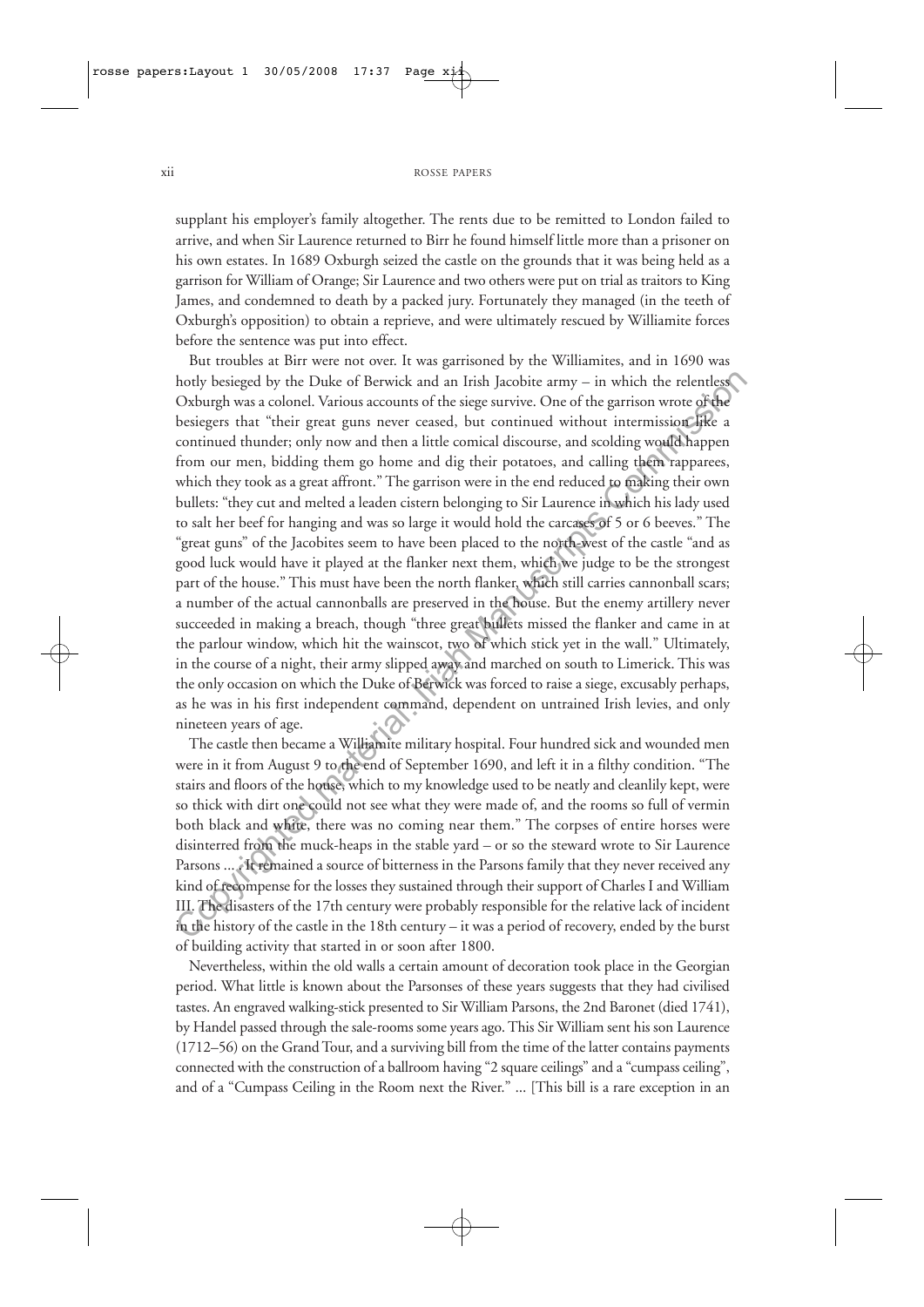supplant his employer's family altogether. The rents due to be remitted to London failed to arrive, and when Sir Laurence returned to Birr he found himself little more than a prisoner on his own estates. In 1689 Oxburgh seized the castle on the grounds that it was being held as a garrison for William of Orange; Sir Laurence and two others were put on trial as traitors to King James, and condemned to death by a packed jury. Fortunately they managed (in the teeth of Oxburgh's opposition) to obtain a reprieve, and were ultimately rescued by Williamite forces before the sentence was put into effect.

But troubles at Birr were not over. It was garrisoned by the Williamites, and in 1690 was hotly besieged by the Duke of Berwick and an Irish Jacobite army – in which the relentless Oxburgh was a colonel. Various accounts of the siege survive. One of the garrison wrote of the besiegers that "their great guns never ceased, but continued without intermission like a continued thunder; only now and then a little comical discourse, and scolding would happen from our men, bidding them go home and dig their potatoes, and calling them rapparees, which they took as a great affront." The garrison were in the end reduced to making their own bullets: "they cut and melted a leaden cistern belonging to Sir Laurence in which his lady used to salt her beef for hanging and was so large it would hold the carcases of 5 or 6 beeves." The "great guns" of the Jacobites seem to have been placed to the north-west of the castle "and as good luck would have it played at the flanker next them, which we judge to be the strongest part of the house." This must have been the north flanker, which still carries cannonball scars; a number of the actual cannonballs are preserved in the house. But the enemy artillery never succeeded in making a breach, though "three great bullets missed the flanker and came in at the parlour window, which hit the wainscot, two of which stick yet in the wall." Ultimately, in the course of a night, their army slipped away and marched on south to Limerick. This was the only occasion on which the Duke of Berwick was forced to raise a siege, excusably perhaps, as he was in his first independent command, dependent on untrained Irish levies, and only nineteen years of age. hotly besieged by the Duke of Berwick and an Irish Jacobite army – in which the relentles<br>Coxhurgh was a colonel. Various accounts of the sige survive. One of the garrison wore of<br>The besiegers that "their great guas neve

The castle then became a Williamite military hospital. Four hundred sick and wounded men were in it from August 9 to the end of September 1690, and left it in a filthy condition. "The stairs and floors of the house, which to my knowledge used to be neatly and cleanlily kept, were so thick with dirt one could not see what they were made of, and the rooms so full of vermin both black and white, there was no coming near them." The corpses of entire horses were disinterred from the muck-heaps in the stable yard – or so the steward wrote to Sir Laurence Parsons ... . It remained a source of bitterness in the Parsons family that they never received any kind of recompense for the losses they sustained through their support of Charles I and William III. The disasters of the 17th century were probably responsible for the relative lack of incident in the history of the castle in the 18th century – it was a period of recovery, ended by the burst of building activity that started in or soon after 1800.

Nevertheless, within the old walls a certain amount of decoration took place in the Georgian period. What little is known about the Parsonses of these years suggests that they had civilised tastes. An engraved walking-stick presented to Sir William Parsons, the 2nd Baronet (died 1741), by Handel passed through the sale-rooms some years ago. This Sir William sent his son Laurence (1712–56) on the Grand Tour, and a surviving bill from the time of the latter contains payments connected with the construction of a ballroom having "2 square ceilings" and a "cumpass ceiling", and of a "Cumpass Ceiling in the Room next the River." ... [This bill is a rare exception in an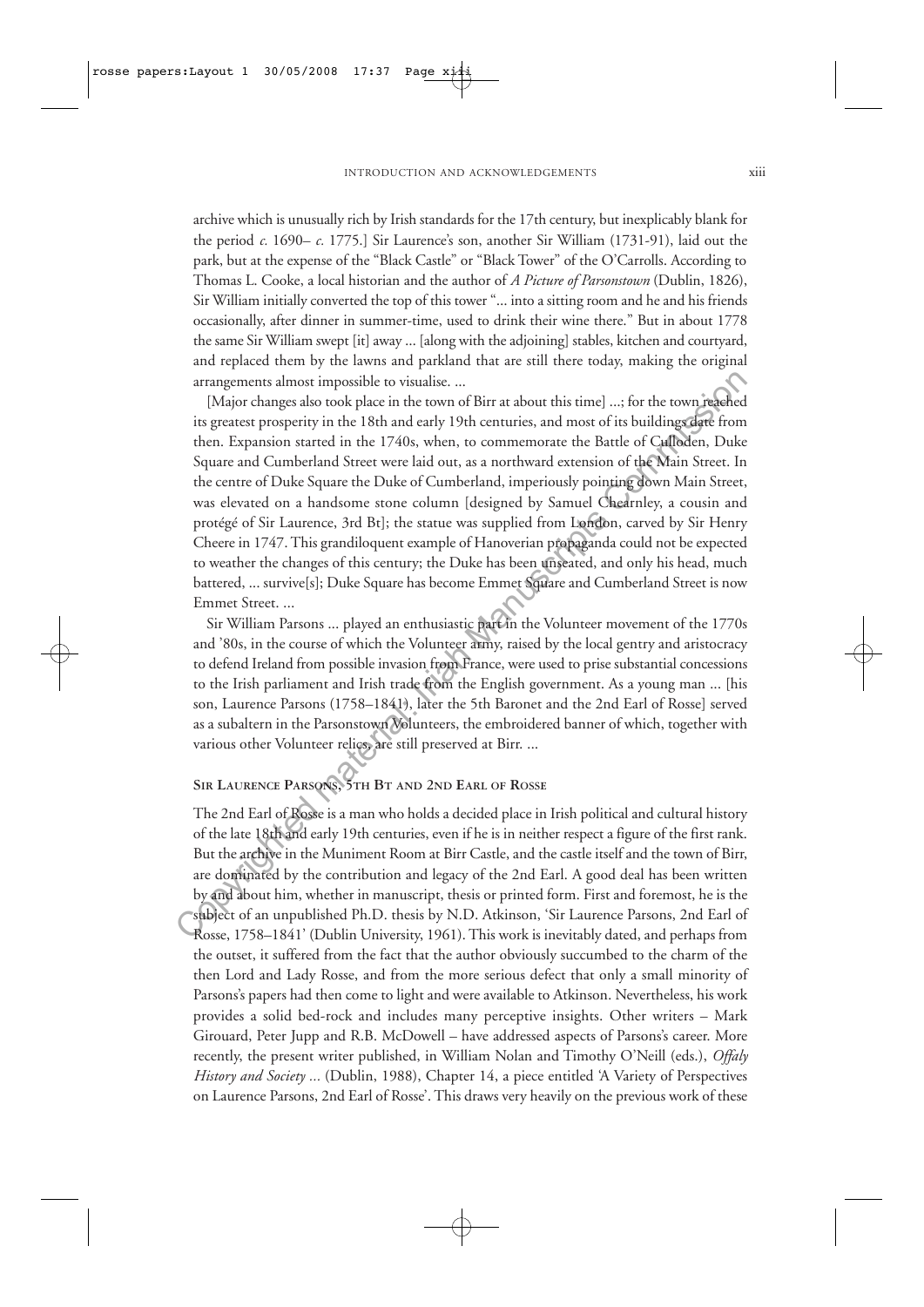archive which is unusually rich by Irish standards for the 17th century, but inexplicably blank for the period *c.* 1690– *c.* 1775.] Sir Laurence's son, another Sir William (1731-91), laid out the park, but at the expense of the "Black Castle" or "Black Tower" of the O'Carrolls. According to Thomas L. Cooke, a local historian and the author of *A Picture of Parsonstown* (Dublin, 1826), Sir William initially converted the top of this tower "... into a sitting room and he and his friends occasionally, after dinner in summer-time, used to drink their wine there." But in about 1778 the same Sir William swept [it] away ... [along with the adjoining] stables, kitchen and courtyard, and replaced them by the lawns and parkland that are still there today, making the original arrangements almost impossible to visualise. ...

[Major changes also took place in the town of Birr at about this time] ...; for the town reached its greatest prosperity in the 18th and early 19th centuries, and most of its buildings date from then. Expansion started in the 1740s, when, to commemorate the Battle of Culloden, Duke Square and Cumberland Street were laid out, as a northward extension of the Main Street. In the centre of Duke Square the Duke of Cumberland, imperiously pointing down Main Street, was elevated on a handsome stone column [designed by Samuel Chearnley, a cousin and protégé of Sir Laurence, 3rd Bt]; the statue was supplied from London, carved by Sir Henry Cheere in 1747. This grandiloquent example of Hanoverian propaganda could not be expected to weather the changes of this century; the Duke has been unseated, and only his head, much battered, ... survive[s]; Duke Square has become Emmet Square and Cumberland Street is now Emmet Street. ... arrangements almost impossible to visualise....<br>
[Major charge also too ky place in the town of Birr at about this time]...; for the town respective place in section and commission started in the 1740s, when, to commenora

Sir William Parsons ... played an enthusiastic part in the Volunteer movement of the 1770s and '80s, in the course of which the Volunteer army, raised by the local gentry and aristocracy to defend Ireland from possible invasion from France, were used to prise substantial concessions to the Irish parliament and Irish trade from the English government. As a young man ... [his son, Laurence Parsons (1758–1841), later the 5th Baronet and the 2nd Earl of Rosse] served as a subaltern in the Parsonstown Volunteers, the embroidered banner of which, together with various other Volunteer relics, are still preserved at Birr. ...

## **SIR LAURENCE PARSONS, 5TH BT AND 2ND EARL OF ROSSE**

The 2nd Earl of Rosse is a man who holds a decided place in Irish political and cultural history of the late 18th and early 19th centuries, even if he is in neither respect a figure of the first rank. But the archive in the Muniment Room at Birr Castle, and the castle itself and the town of Birr, are dominated by the contribution and legacy of the 2nd Earl. A good deal has been written by and about him, whether in manuscript, thesis or printed form. First and foremost, he is the subject of an unpublished Ph.D. thesis by N.D. Atkinson, 'Sir Laurence Parsons, 2nd Earl of Rosse, 1758–1841' (Dublin University, 1961). This work is inevitably dated, and perhaps from the outset, it suffered from the fact that the author obviously succumbed to the charm of the then Lord and Lady Rosse, and from the more serious defect that only a small minority of Parsons's papers had then come to light and were available to Atkinson. Nevertheless, his work provides a solid bed-rock and includes many perceptive insights. Other writers – Mark Girouard, Peter Jupp and R.B. McDowell – have addressed aspects of Parsons's career. More recently, the present writer published, in William Nolan and Timothy O'Neill (eds.), *Offaly History and Society ...* (Dublin, 1988), Chapter 14, a piece entitled 'A Variety of Perspectives on Laurence Parsons, 2nd Earl of Rosse'. This draws very heavily on the previous work of these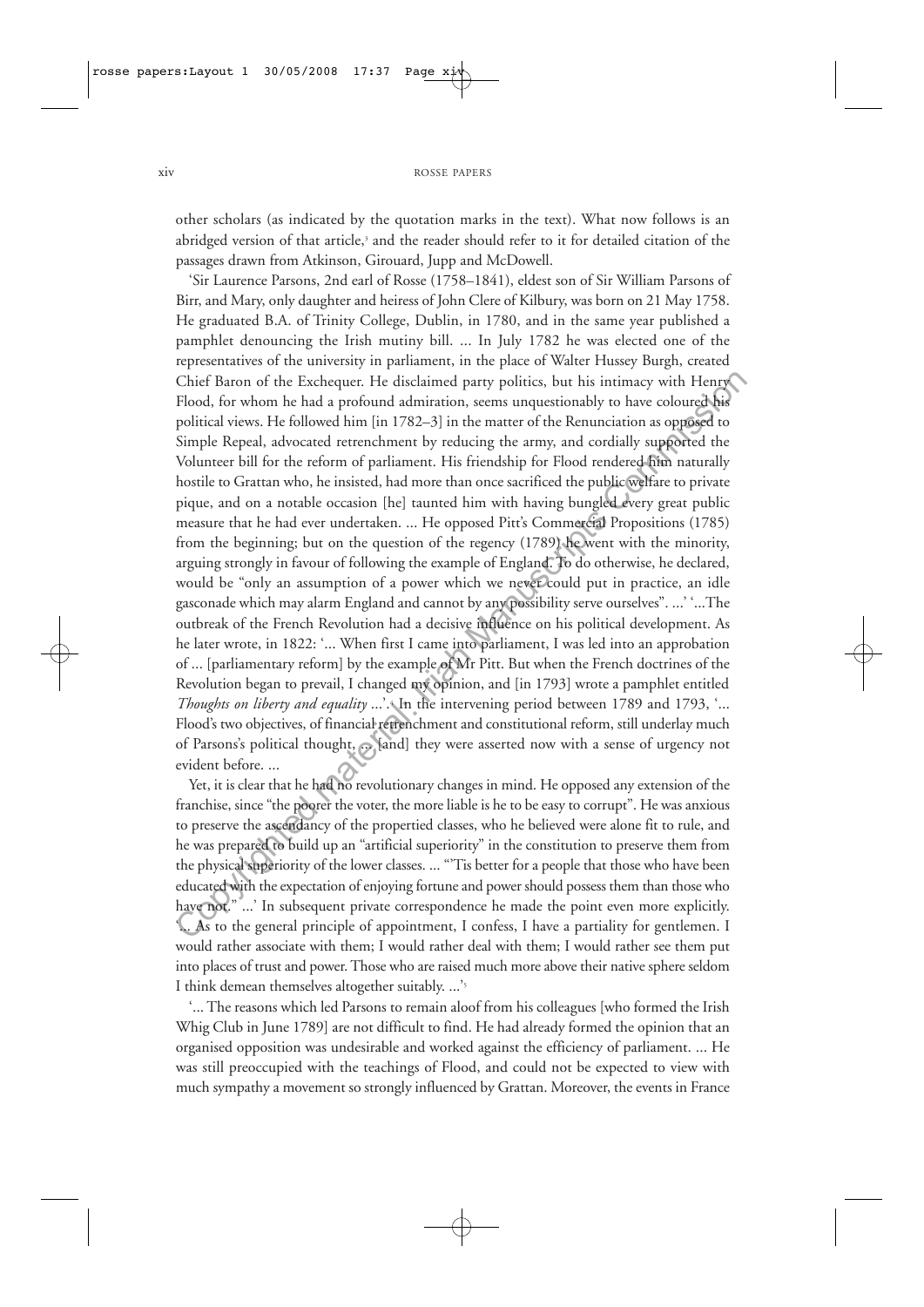#### xiv ROSSE PAPERS

other scholars (as indicated by the quotation marks in the text). What now follows is an abridged version of that article,<sup>3</sup> and the reader should refer to it for detailed citation of the passages drawn from Atkinson, Girouard, Jupp and McDowell.

'Sir Laurence Parsons, 2nd earl of Rosse (1758–1841), eldest son of Sir William Parsons of Birr, and Mary, only daughter and heiress of John Clere of Kilbury, was born on 21 May 1758. He graduated B.A. of Trinity College, Dublin, in 1780, and in the same year published a pamphlet denouncing the Irish mutiny bill. ... In July 1782 he was elected one of the representatives of the university in parliament, in the place of Walter Hussey Burgh, created Chief Baron of the Exchequer. He disclaimed party politics, but his intimacy with Henry Flood, for whom he had a profound admiration, seems unquestionably to have coloured his political views. He followed him [in 1782–3] in the matter of the Renunciation as opposed to Simple Repeal, advocated retrenchment by reducing the army, and cordially supported the Volunteer bill for the reform of parliament. His friendship for Flood rendered him naturally hostile to Grattan who, he insisted, had more than once sacrificed the public welfare to private pique, and on a notable occasion [he] taunted him with having bungled every great public measure that he had ever undertaken. ... He opposed Pitt's Commercial Propositions (1785) from the beginning; but on the question of the regency (1789) he went with the minority, arguing strongly in favour of following the example of England. To do otherwise, he declared, would be "only an assumption of a power which we never could put in practice, an idle gasconade which may alarm England and cannot by any possibility serve ourselves". ...' '...The outbreak of the French Revolution had a decisive influence on his political development. As he later wrote, in 1822: '... When first I came into parliament, I was led into an approbation of ... [parliamentary reform] by the example of Mr Pitt. But when the French doctrines of the Revolution began to prevail, I changed my opinion, and [in 1793] wrote a pamphlet entitled *Thoughts on liberty and equality* ...'. In the intervening period between 1789 and 1793, '... Flood's two objectives, of financial retrenchment and constitutional reform, still underlay much of Parsons's political thought, ... [and] they were asserted now with a sense of urgency not evident before. ... Chief Baron of the Exchequer. He disclaimed party polities, but his intimacy with Heng<br>
Flood, for whom he had a profound amiration, seems unquestionably to have coloured bis<br>
Flood, in whence the Renumeation is opposed t

Yet, it is clear that he had no revolutionary changes in mind. He opposed any extension of the franchise, since "the poorer the voter, the more liable is he to be easy to corrupt". He was anxious to preserve the ascendancy of the propertied classes, who he believed were alone fit to rule, and he was prepared to build up an "artificial superiority" in the constitution to preserve them from the physical superiority of the lower classes. ... "'Tis better for a people that those who have been educated with the expectation of enjoying fortune and power should possess them than those who have not." ...' In subsequent private correspondence he made the point even more explicitly. '... As to the general principle of appointment, I confess, I have a partiality for gentlemen. I would rather associate with them; I would rather deal with them; I would rather see them put into places of trust and power. Those who are raised much more above their native sphere seldom I think demean themselves altogether suitably. ...'5

'... The reasons which led Parsons to remain aloof from his colleagues [who formed the Irish Whig Club in June 1789] are not difficult to find. He had already formed the opinion that an organised opposition was undesirable and worked against the efficiency of parliament. ... He was still preoccupied with the teachings of Flood, and could not be expected to view with much sympathy a movement so strongly influenced by Grattan. Moreover, the events in France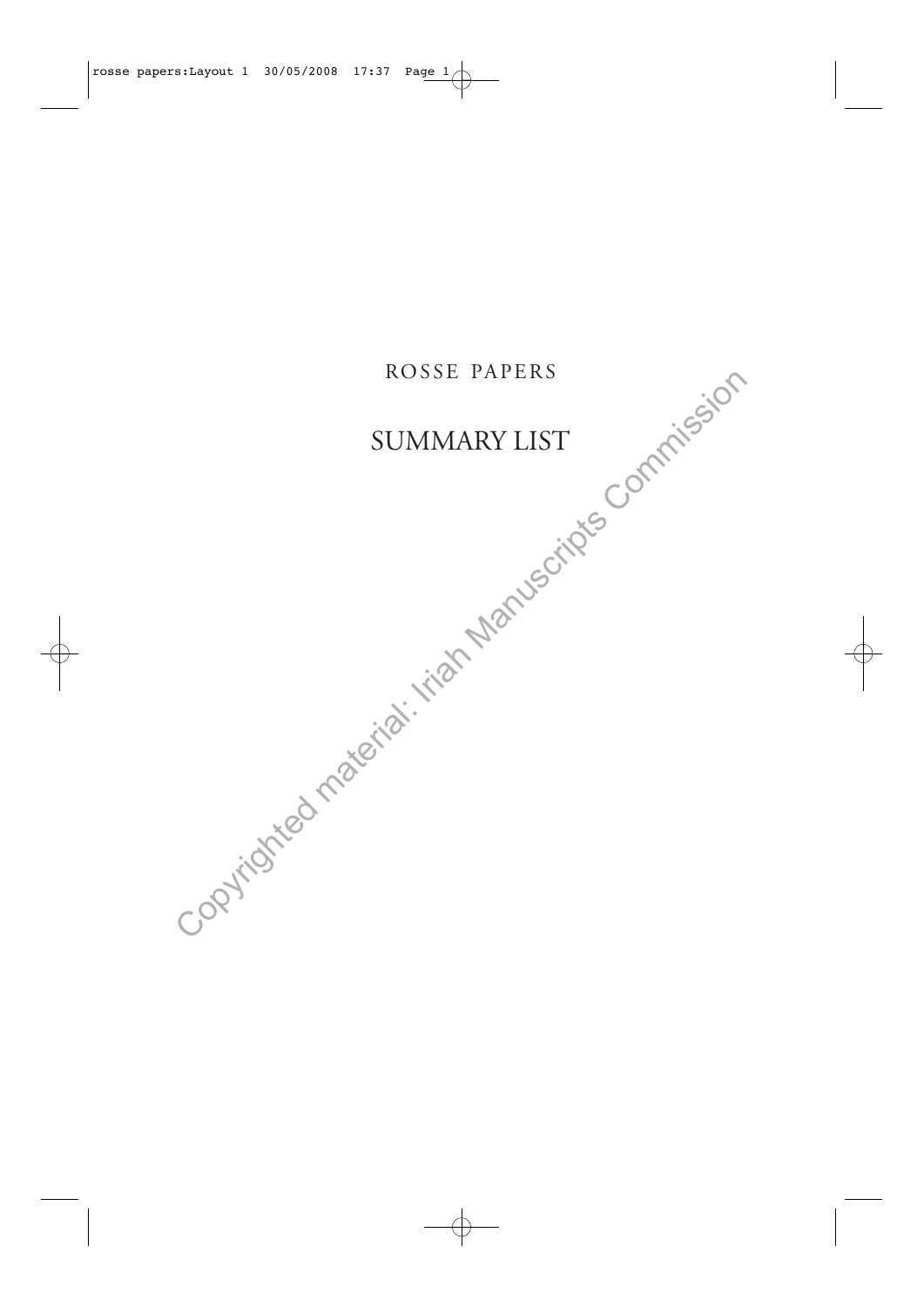# ROSSE PAPERS

# SUMMARY LIST

summary LIST<br>SUMMARY LIST<br>Copyrighted material: Iriah Manuscripts Commission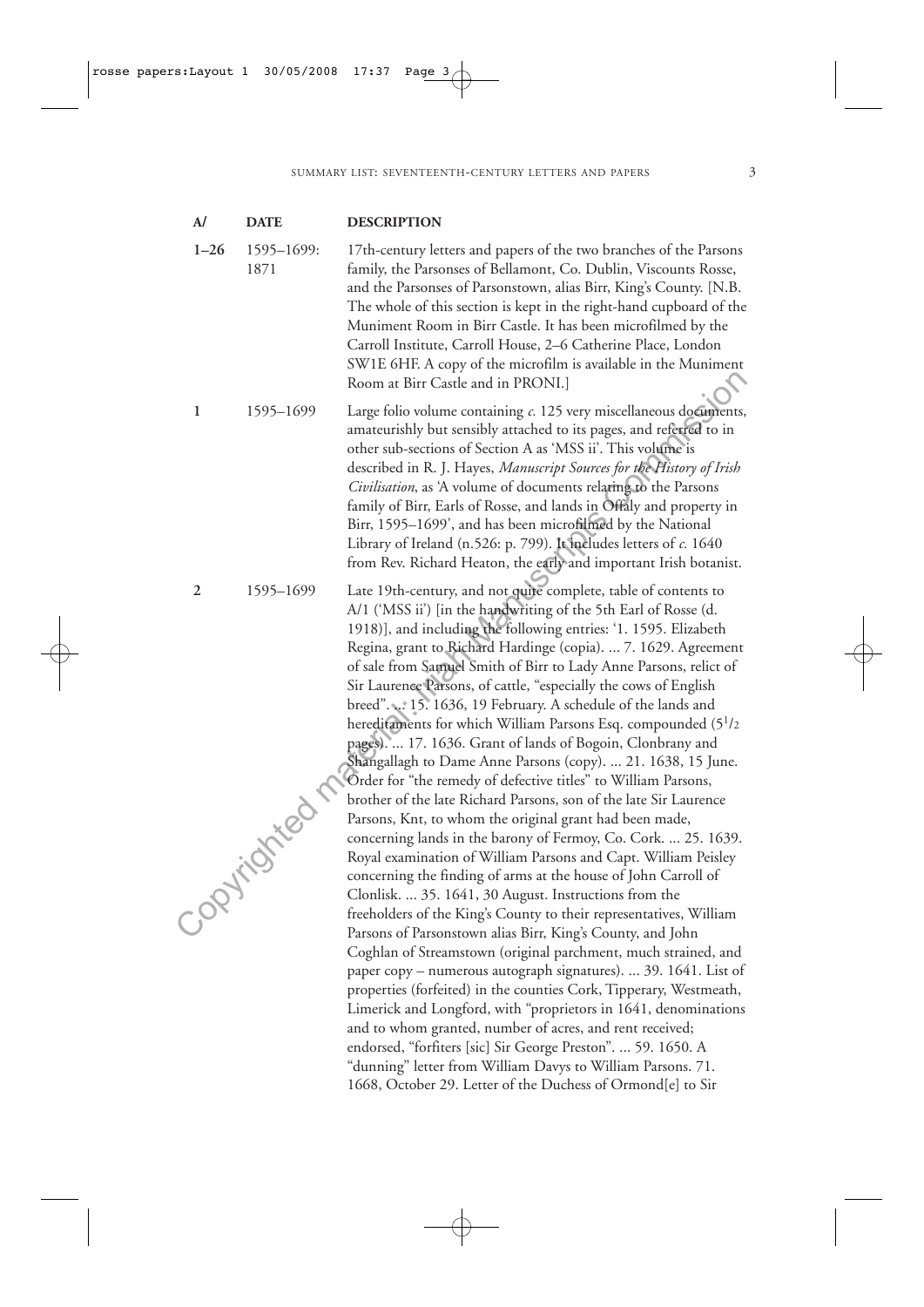| $\mathbf{A}$ | <b>DATE</b>                      | <b>DESCRIPTION</b>                                                                                                                                                                                                                                                                                                                                                                                                                                                                                                                                                                                                                                                                                                                                                                                                                                                                                                                                                                                                                                                                                                                                                                                                                                                                                                                                                                                                                                                                                                                                                                                                                                                                                                                                                                                                                       |
|--------------|----------------------------------|------------------------------------------------------------------------------------------------------------------------------------------------------------------------------------------------------------------------------------------------------------------------------------------------------------------------------------------------------------------------------------------------------------------------------------------------------------------------------------------------------------------------------------------------------------------------------------------------------------------------------------------------------------------------------------------------------------------------------------------------------------------------------------------------------------------------------------------------------------------------------------------------------------------------------------------------------------------------------------------------------------------------------------------------------------------------------------------------------------------------------------------------------------------------------------------------------------------------------------------------------------------------------------------------------------------------------------------------------------------------------------------------------------------------------------------------------------------------------------------------------------------------------------------------------------------------------------------------------------------------------------------------------------------------------------------------------------------------------------------------------------------------------------------------------------------------------------------|
| $1 - 26$     | 1595-1699:<br>1871               | 17th-century letters and papers of the two branches of the Parsons<br>family, the Parsonses of Bellamont, Co. Dublin, Viscounts Rosse,<br>and the Parsonses of Parsonstown, alias Birr, King's County. [N.B.<br>The whole of this section is kept in the right-hand cupboard of the<br>Muniment Room in Birr Castle. It has been microfilmed by the<br>Carroll Institute, Carroll House, 2-6 Catherine Place, London<br>SW1E 6HF. A copy of the microfilm is available in the Muniment<br>Room at Birr Castle and in PRONI.]                                                                                                                                                                                                                                                                                                                                                                                                                                                                                                                                                                                                                                                                                                                                                                                                                                                                                                                                                                                                                                                                                                                                                                                                                                                                                                             |
| 1            | 1595-1699                        | Large folio volume containing c. 125 very miscellaneous documents,<br>amateurishly but sensibly attached to its pages, and referred to in<br>other sub-sections of Section A as 'MSS ii'. This volume is<br>described in R. J. Hayes, Manuscript Sources for the History of Irish<br>Civilisation, as 'A volume of documents relating to the Parsons<br>family of Birr, Earls of Rosse, and lands in Offaly and property in<br>Birr, 1595-1699', and has been microfilmed by the National<br>Library of Ireland (n.526: p. 799). It includes letters of c. 1640<br>from Rev. Richard Heaton, the early and important Irish botanist.                                                                                                                                                                                                                                                                                                                                                                                                                                                                                                                                                                                                                                                                                                                                                                                                                                                                                                                                                                                                                                                                                                                                                                                                     |
| 2            | 1595-1699<br><b>Puritistical</b> | Late 19th-century, and not quite complete, table of contents to<br>A/1 ('MSS ii') [in the handwriting of the 5th Earl of Rosse (d.<br>1918)], and including the following entries: '1. 1595. Elizabeth<br>Regina, grant to Richard Hardinge (copia).  7. 1629. Agreement<br>of sale from Samuel Smith of Birr to Lady Anne Parsons, relict of<br>Sir Laurence Parsons, of cattle, "especially the cows of English<br>breed". 15. 1636, 19 February. A schedule of the lands and<br>hereditaments for which William Parsons Esq. compounded (5 <sup>1</sup> /2<br>pages).  17. 1636. Grant of lands of Bogoin, Clonbrany and<br>Shangallagh to Dame Anne Parsons (copy).  21. 1638, 15 June.<br>Order for "the remedy of defective titles" to William Parsons,<br>brother of the late Richard Parsons, son of the late Sir Laurence<br>Parsons, Knt, to whom the original grant had been made,<br>concerning lands in the barony of Fermoy, Co. Cork.  25. 1639.<br>Royal examination of William Parsons and Capt. William Peisley<br>concerning the finding of arms at the house of John Carroll of<br>Clonlisk.  35. 1641, 30 August. Instructions from the<br>freeholders of the King's County to their representatives, William<br>Parsons of Parsonstown alias Birr, King's County, and John<br>Coghlan of Streamstown (original parchment, much strained, and<br>paper copy – numerous autograph signatures).  39. 1641. List of<br>properties (forfeited) in the counties Cork, Tipperary, Westmeath,<br>Limerick and Longford, with "proprietors in 1641, denominations<br>and to whom granted, number of acres, and rent received;<br>endorsed, "forfiters [sic] Sir George Preston".  59. 1650. A<br>"dunning" letter from William Davys to William Parsons. 71.<br>1668, October 29. Letter of the Duchess of Ormond[e] to Sir |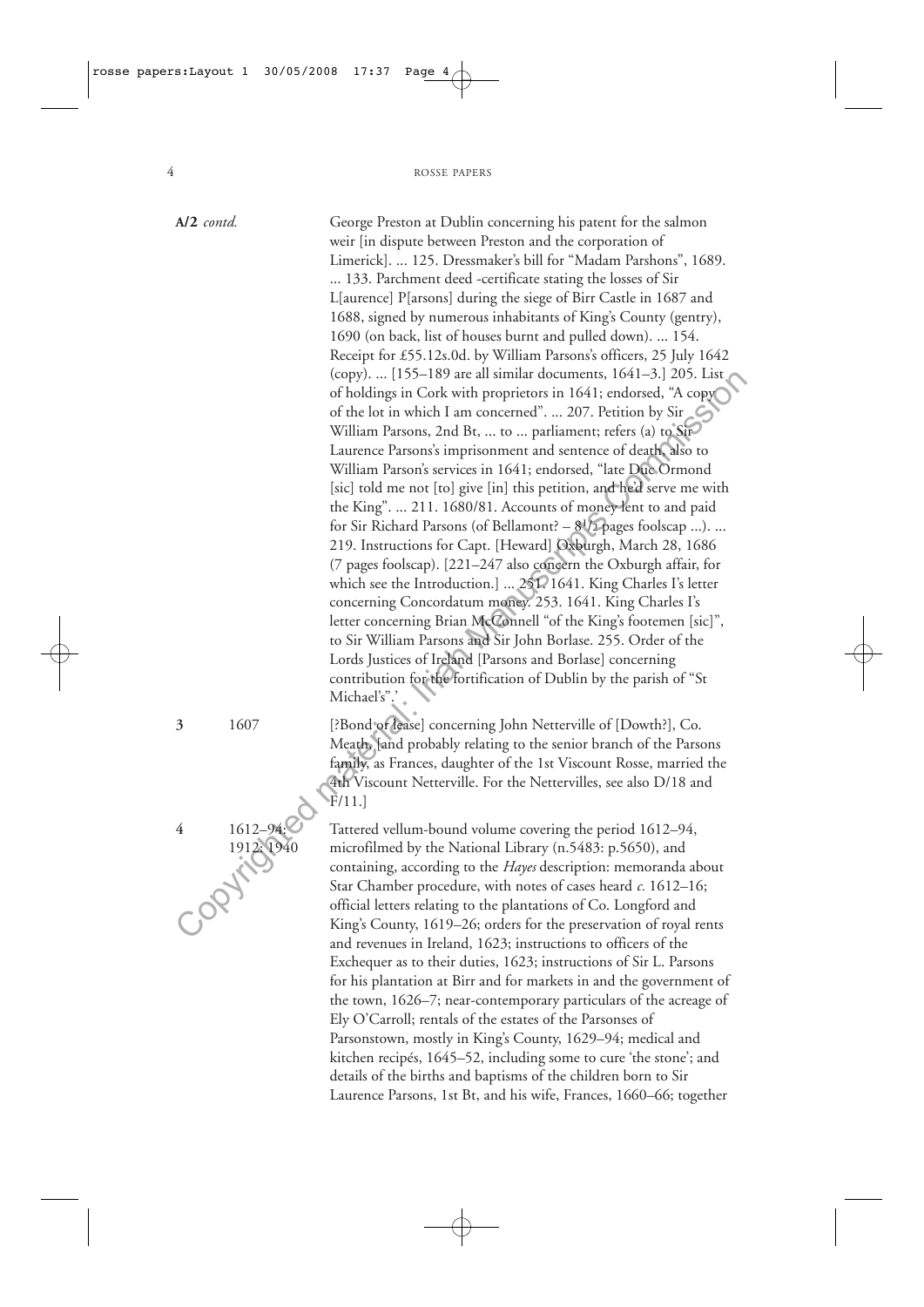| $A/2$ contd. | George Preston at Dublin concerning his patent for the salmon          |
|--------------|------------------------------------------------------------------------|
|              | weir [in dispute between Preston and the corporation of                |
|              | Limerick].  125. Dressmaker's bill for "Madam Parshons", 1689.         |
|              | 133. Parchment deed -certificate stating the losses of Sir             |
|              | L[aurence] P[arsons] during the siege of Birr Castle in 1687 and       |
|              |                                                                        |
|              | 1688, signed by numerous inhabitants of King's County (gentry),        |
|              | 1690 (on back, list of houses burnt and pulled down).  154.            |
|              | Receipt for £55.12s.0d. by William Parsons's officers, 25 July 1642    |
|              | (copy).  [155–189 are all similar documents, 1641–3.] 205. List        |
|              | of holdings in Cork with proprietors in 1641; endorsed, "A copy        |
|              | of the lot in which I am concerned".  207. Petition by Sir             |
|              | William Parsons, 2nd Bt,  to  parliament; refers (a) to Sir            |
|              | Laurence Parsons's imprisonment and sentence of death, also to         |
|              | William Parson's services in 1641; endorsed, "late Duc Ormond          |
|              | [sic] told me not [to] give [in] this petition, and he'd serve me with |
|              | the King".  211. 1680/81. Accounts of money lent to and paid           |
|              | for Sir Richard Parsons (of Bellamont? $-8^{1/2}$ pages foolscap ).    |
|              | 219. Instructions for Capt. [Heward] Oxburgh, March 28, 1686           |
|              | (7 pages foolscap). [221-247 also concern the Oxburgh affair, for      |
|              | which see the Introduction.]  251. 1641. King Charles I's letter       |
|              | concerning Concordatum money. 253. 1641. King Charles I's              |
|              | letter concerning Brian McConnell "of the King's footemen [sic]",      |
|              | to Sir William Parsons and Sir John Borlase. 255. Order of the         |
|              |                                                                        |
|              | Lords Justices of Ireland [Parsons and Borlase] concerning             |
|              | contribution for the fortification of Dublin by the parish of "St      |
|              | Michael's".'                                                           |
| 1607<br>3    | [?Bond or lease] concerning John Netterville of [Dowth?], Co.          |
|              | Meath, and probably relating to the senior branch of the Parsons       |
|              | family, as Frances, daughter of the 1st Viscount Rosse, married the    |
|              | 4th Viscount Netterville. For the Nettervilles, see also D/18 and      |
|              | $\tilde{F}/11.$                                                        |
|              |                                                                        |
| 1612-94<br>4 | Tattered vellum-bound volume covering the period 1612–94,              |
| 1912: 1940   | microfilmed by the National Library (n.5483: p.5650), and              |
|              | containing, according to the Hayes description: memoranda about        |
|              | Star Chamber procedure, with notes of cases heard $c$ . 1612–16;       |
|              | official letters relating to the plantations of Co. Longford and       |
|              | King's County, 1619–26; orders for the preservation of royal rents     |
|              | and revenues in Ireland, 1623; instructions to officers of the         |
|              | Exchequer as to their duties, 1623; instructions of Sir L. Parsons     |
|              | for his plantation at Birr and for markets in and the government of    |
|              | the town, 1626-7; near-contemporary particulars of the acreage of      |
|              | Ely O'Carroll; rentals of the estates of the Parsonses of              |
|              | Parsonstown, mostly in King's County, 1629-94; medical and             |
|              | kitchen recipés, 1645–52, including some to cure 'the stone'; and      |
|              |                                                                        |
|              | details of the births and baptisms of the children born to Sir         |
|              | Laurence Parsons, 1st Bt, and his wife, Frances, 1660-66; together     |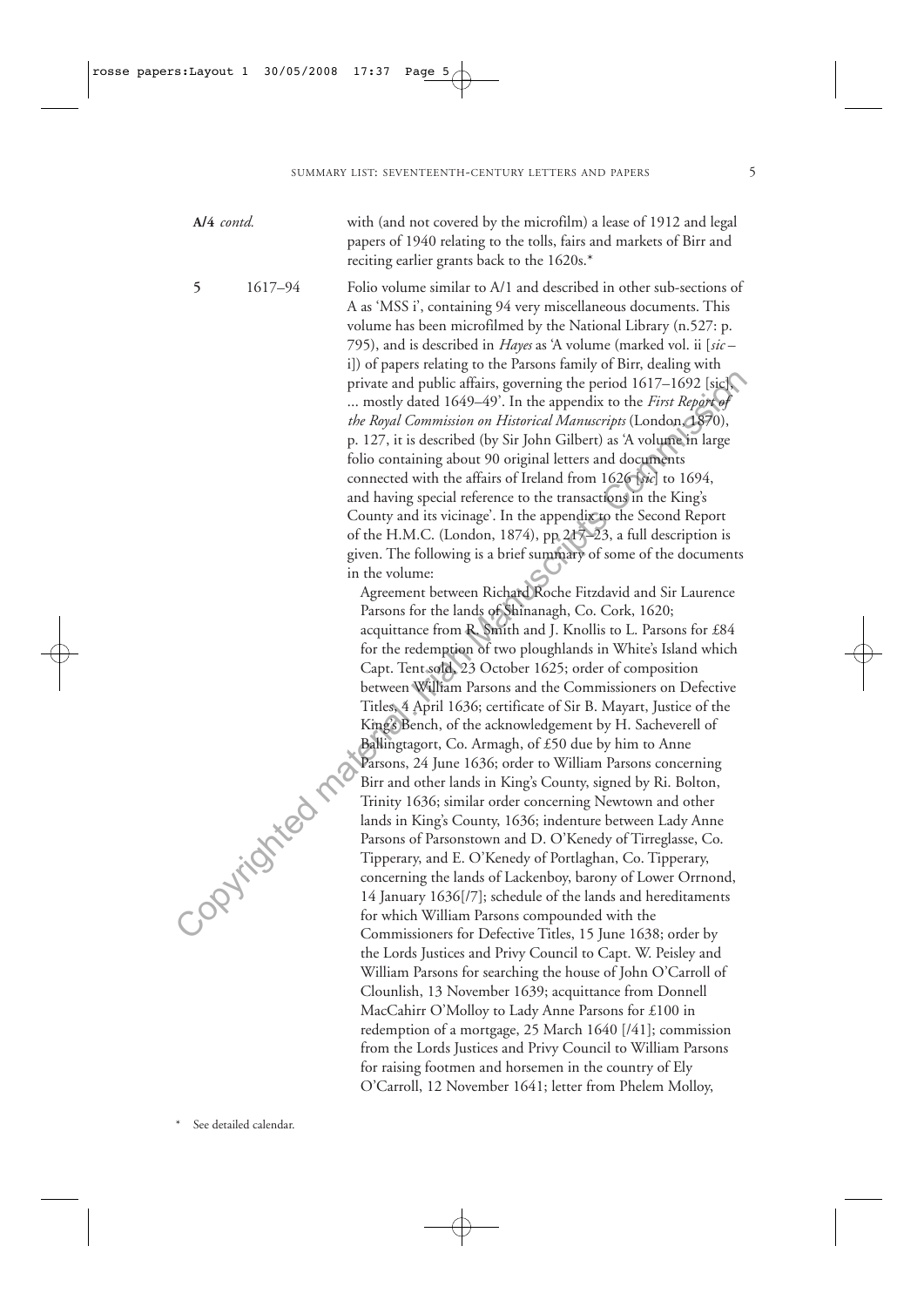**A/4** *contd.* with (and not covered by the microfilm) a lease of 1912 and legal papers of 1940 relating to the tolls, fairs and markets of Birr and reciting earlier grants back to the 1620s.\*

**5** 1617–94 Folio volume similar to A/1 and described in other sub-sections of A as 'MSS i', containing 94 very miscellaneous documents. This volume has been microfilmed by the National Library (n.527: p. 795), and is described in *Hayes* as 'A volume (marked vol. ii [*sic* – i]) of papers relating to the Parsons family of Birr, dealing with private and public affairs, governing the period 1617–1692 [sic], ... mostly dated 1649–49'. In the appendix to the *First Report of the Royal Commission on Historical Manuscripts* (London, 1870), p. 127, it is described (by Sir John Gilbert) as 'A volume in large folio containing about 90 original letters and documents connected with the affairs of Ireland from 1626 [*sic*] to 1694, and having special reference to the transactions in the King's County and its vicinage'. In the appendix to the Second Report of the H.M.C. (London, 1874), pp 217–23, a full description is given. The following is a brief summary of some of the documents in the volume:

Agreement between Richard Roche Fitzdavid and Sir Laurence Parsons for the lands of Shinanagh, Co. Cork, 1620; acquittance from R. Smith and J. Knollis to L. Parsons for £84 for the redemption of two ploughlands in White's Island which Capt. Tent sold, 23 October 1625; order of composition between William Parsons and the Commissioners on Defective Titles, 4 April 1636; certificate of Sir B. Mayart, Justice of the King's Bench, of the acknowledgement by H. Sacheverell of Ballingtagort, Co. Armagh, of £50 due by him to Anne Parsons, 24 June 1636; order to William Parsons concerning Birr and other lands in King's County, signed by Ri. Bolton, Trinity 1636; similar order concerning Newtown and other lands in King's County, 1636; indenture between Lady Anne Parsons of Parsonstown and D. O'Kenedy of Tirreglasse, Co. Tipperary, and E. O'Kenedy of Portlaghan, Co. Tipperary, concerning the lands of Lackenboy, barony of Lower Orrnond, 14 January 1636[/7]; schedule of the lands and hereditaments for which William Parsons compounded with the Commissioners for Defective Titles, 15 June 1638; order by the Lords Justices and Privy Council to Capt. W. Peisley and William Parsons for searching the house of John O'Carroll of Clounlish, 13 November 1639; acquittance from Donnell MacCahirr O'Molloy to Lady Anne Parsons for £100 in redemption of a mortgage, 25 March 1640 [/41]; commission from the Lords Justices and Privy Council to William Parsons for raising footmen and horsemen in the country of Ely O'Carroll, 12 November 1641; letter from Phelem Molloy, private and public affairs, governing the period 1617–1692 [sic]<br>
... mostly dated 1643–49). In the appendix to the *First Inpipelige*<br> *in le Royal Commission on Historical Manuscrips* (London degree)<br>
p. 127, it is desc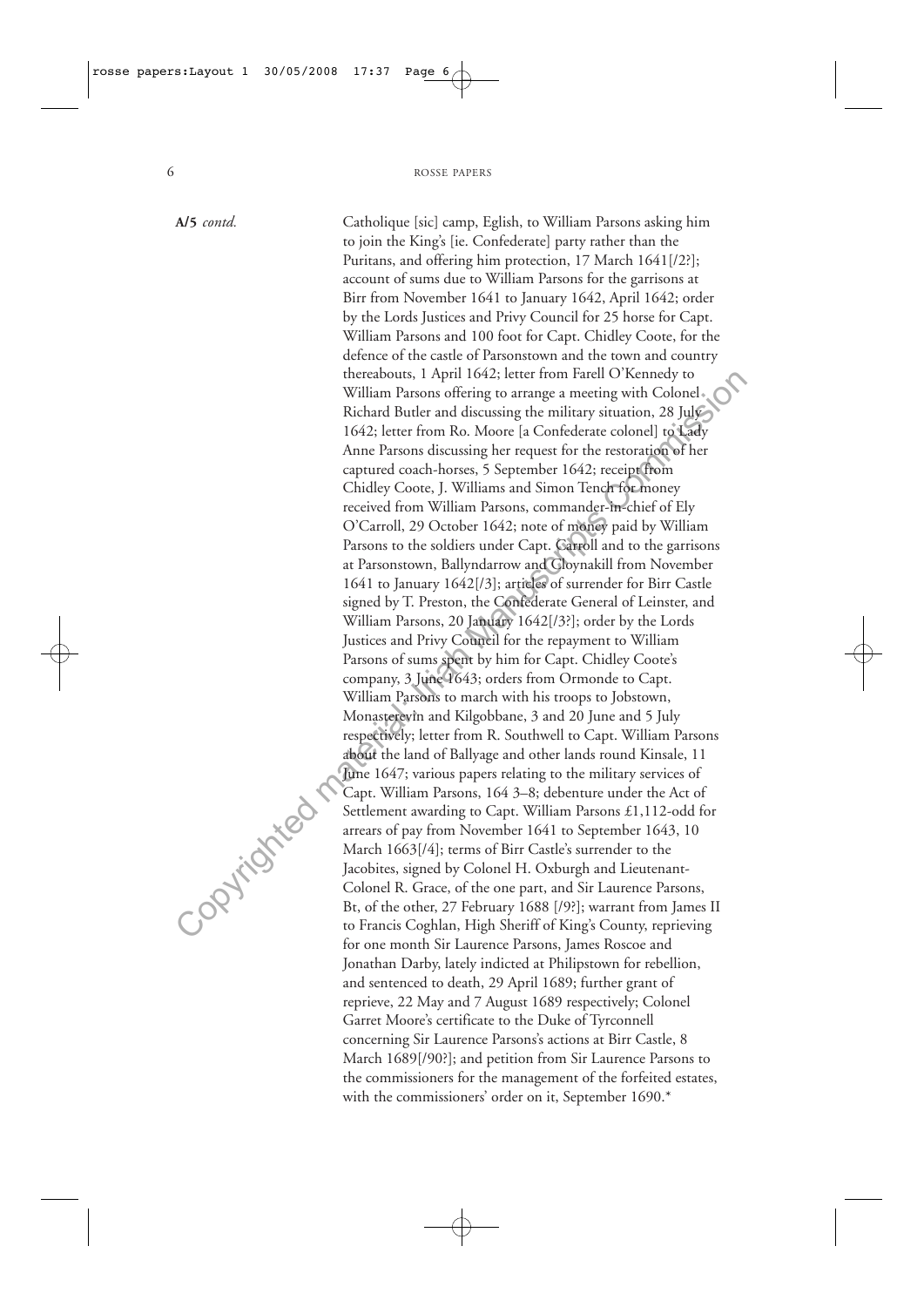**A/5** *contd.* Catholique [sic] camp, Eglish, to William Parsons asking him to join the King's [ie. Confederate] party rather than the Puritans, and offering him protection, 17 March 1641[/2?]; account of sums due to William Parsons for the garrisons at Birr from November 1641 to January 1642, April 1642; order by the Lords Justices and Privy Council for 25 horse for Capt. William Parsons and 100 foot for Capt. Chidley Coote, for the defence of the castle of Parsonstown and the town and country thereabouts, 1 April 1642; letter from Farell O'Kennedy to William Parsons offering to arrange a meeting with Colonel Richard Butler and discussing the military situation, 28 July 1642; letter from Ro. Moore [a Confederate colonel] to Lady Anne Parsons discussing her request for the restoration of her captured coach-horses, 5 September 1642; receipt from Chidley Coote, J. Williams and Simon Tench for money received from William Parsons, commander-in-chief of Ely O'Carroll, 29 October 1642; note of money paid by William Parsons to the soldiers under Capt. Carroll and to the garrisons at Parsonstown, Ballyndarrow and Cloynakill from November 1641 to January 1642[/3]; articles of surrender for Birr Castle signed by T. Preston, the Confederate General of Leinster, and William Parsons, 20 January 1642[/3?]; order by the Lords Justices and Privy Council for the repayment to William Parsons of sums spent by him for Capt. Chidley Coote's company, 3 June 1643; orders from Ormonde to Capt. William Parsons to march with his troops to Jobstown, Monasterevin and Kilgobbane, 3 and 20 June and 5 July respectively; letter from R. Southwell to Capt. William Parsons about the land of Ballyage and other lands round Kinsale, 11 June 1647; various papers relating to the military services of Capt. William Parsons, 164 3–8; debenture under the Act of Settlement awarding to Capt. William Parsons £1,112-odd for arrears of pay from November 1641 to September 1643, 10 March 1663[/4]; terms of Birr Castle's surrender to the Jacobites, signed by Colonel H. Oxburgh and Lieutenant-Colonel R. Grace, of the one part, and Sir Laurence Parsons, Bt, of the other, 27 February 1688 [/9?]; warrant from James II to Francis Coghlan, High Sheriff of King's County, reprieving for one month Sir Laurence Parsons, James Roscoe and Jonathan Darby, lately indicted at Philipstown for rebellion, and sentenced to death, 29 April 1689; further grant of reprieve, 22 May and 7 August 1689 respectively; Colonel Garret Moore's certificate to the Duke of Tyrconnell concerning Sir Laurence Parsons's actions at Birr Castle, 8 March 1689[/90?]; and petition from Sir Laurence Parsons to the commissioners for the management of the forfeited estates, with the commissioners' order on it, September 1690.\* therefore the Manuscripts Commission (1642) ieter from Farell O Kennedy to<br>
William Parsons offering to arrange a meeting with Colonel . Nichard Butler and discussing the military situation. 28 July<br>
1642; letter from Ro.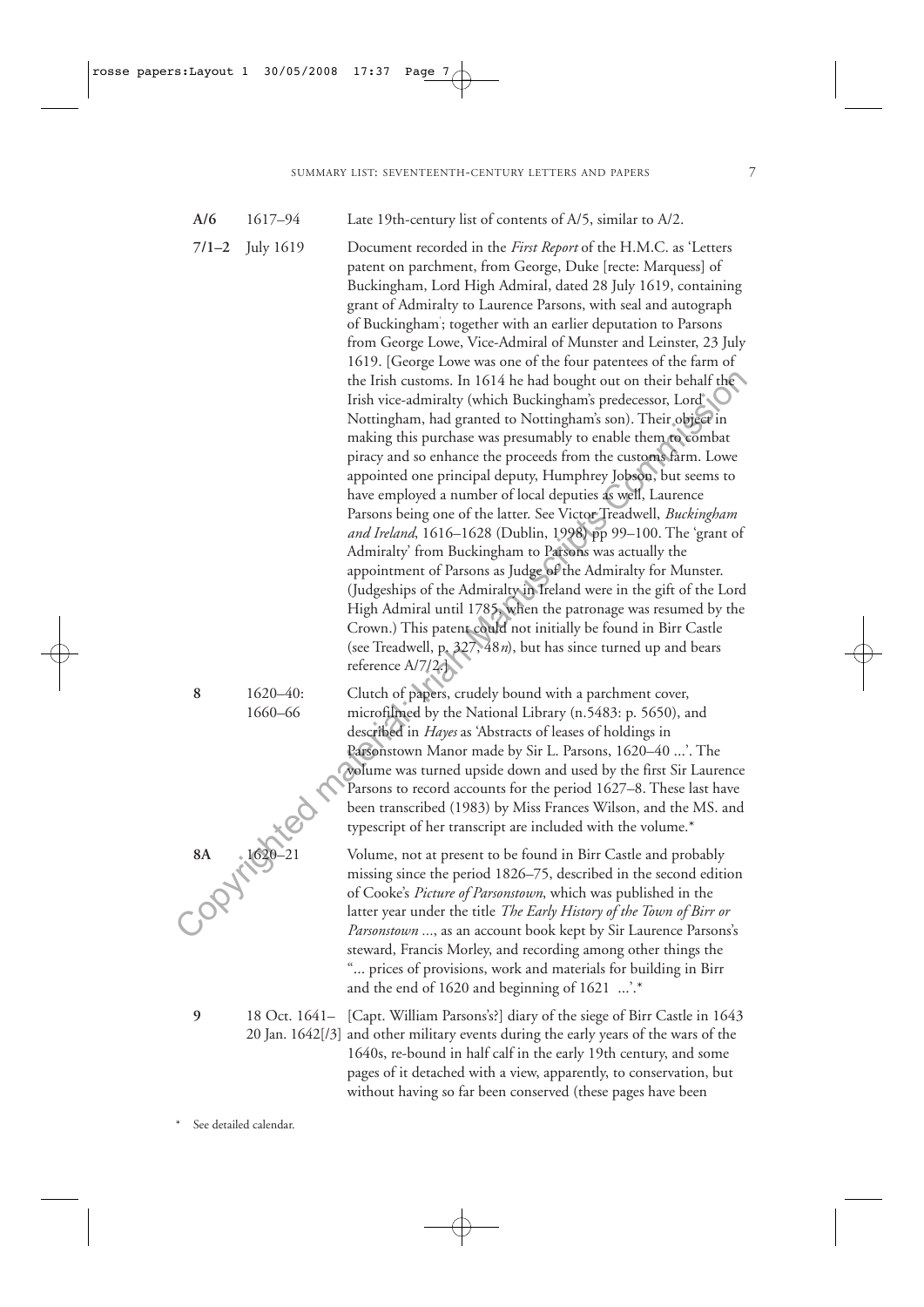- **A/6** 1617–94 Late 19th-century list of contents of A/5, similar to A/2.
- **7/1–2** July 1619 Document recorded in the *First Report* of the H.M.C. as 'Letters

patent on parchment, from George, Duke [recte: Marquess] of Buckingham, Lord High Admiral, dated 28 July 1619, containing grant of Admiralty to Laurence Parsons, with seal and autograph of Buckingham' ; together with an earlier deputation to Parsons from George Lowe, Vice-Admiral of Munster and Leinster, 23 July 1619. [George Lowe was one of the four patentees of the farm of the Irish customs. In 1614 he had bought out on their behalf the Irish vice-admiralty (which Buckingham's predecessor, Lord's Nottingham, had granted to Nottingham's son). Their object in making this purchase was presumably to enable them to combat piracy and so enhance the proceeds from the customs farm. Lowe appointed one principal deputy, Humphrey Jobson, but seems to have employed a number of local deputies as well, Laurence Parsons being one of the latter. See Victor Treadwell, *Buckingham and Ireland*, 1616–1628 (Dublin, 1998) pp 99–100. The 'grant of Admiralty' from Buckingham to Parsons was actually the appointment of Parsons as Judge of the Admiralty for Munster. (Judgeships of the Admiralty in Ireland were in the gift of the Lord High Admiral until 1785, when the patronage was resumed by the Crown.) This patent could not initially be found in Birr Castle (see Treadwell, p. 327, 48*n*), but has since turned up and bears reference A/7/2.] the Irish customs. In 1614 he had bought out on their behalf the<br>
Irish vice-admirality (which Buckingham's predecessor, Lord')<br>
Nottingham, had granted to Nottingham's son). Their object in<br>
making this purchase was pres

**8** 1620–40: Clutch of papers, crudely bound with a parchment cover, 1660–66 microfilmed by the National Library (n.5483: p. 5650), and described in *Hayes* as 'Abstracts of leases of holdings in Parsonstown Manor made by Sir L. Parsons, 1620–40 ...'. The volume was turned upside down and used by the first Sir Laurence Parsons to record accounts for the period 1627–8. These last have been transcribed (1983) by Miss Frances Wilson, and the MS. and typescript of her transcript are included with the volume.\*

> Volume, not at present to be found in Birr Castle and probably missing since the period 1826–75, described in the second edition of Cooke's *Picture of Parsonstown*, which was published in the latter year under the title *The Early History of the Town of Birr or Parsonstown ...*, as an account book kept by Sir Laurence Parsons's steward, Francis Morley, and recording among other things the "... prices of provisions, work and materials for building in Birr and the end of 1620 and beginning of 1621 ...'.\*

**9** 18 Oct. 1641– [Capt. William Parsons's?] diary of the siege of Birr Castle in 1643 20 Jan. 1642[/3] and other military events during the early years of the wars of the 1640s, re-bound in half calf in the early 19th century, and some pages of it detached with a view, apparently, to conservation, but without having so far been conserved (these pages have been



See detailed calendar.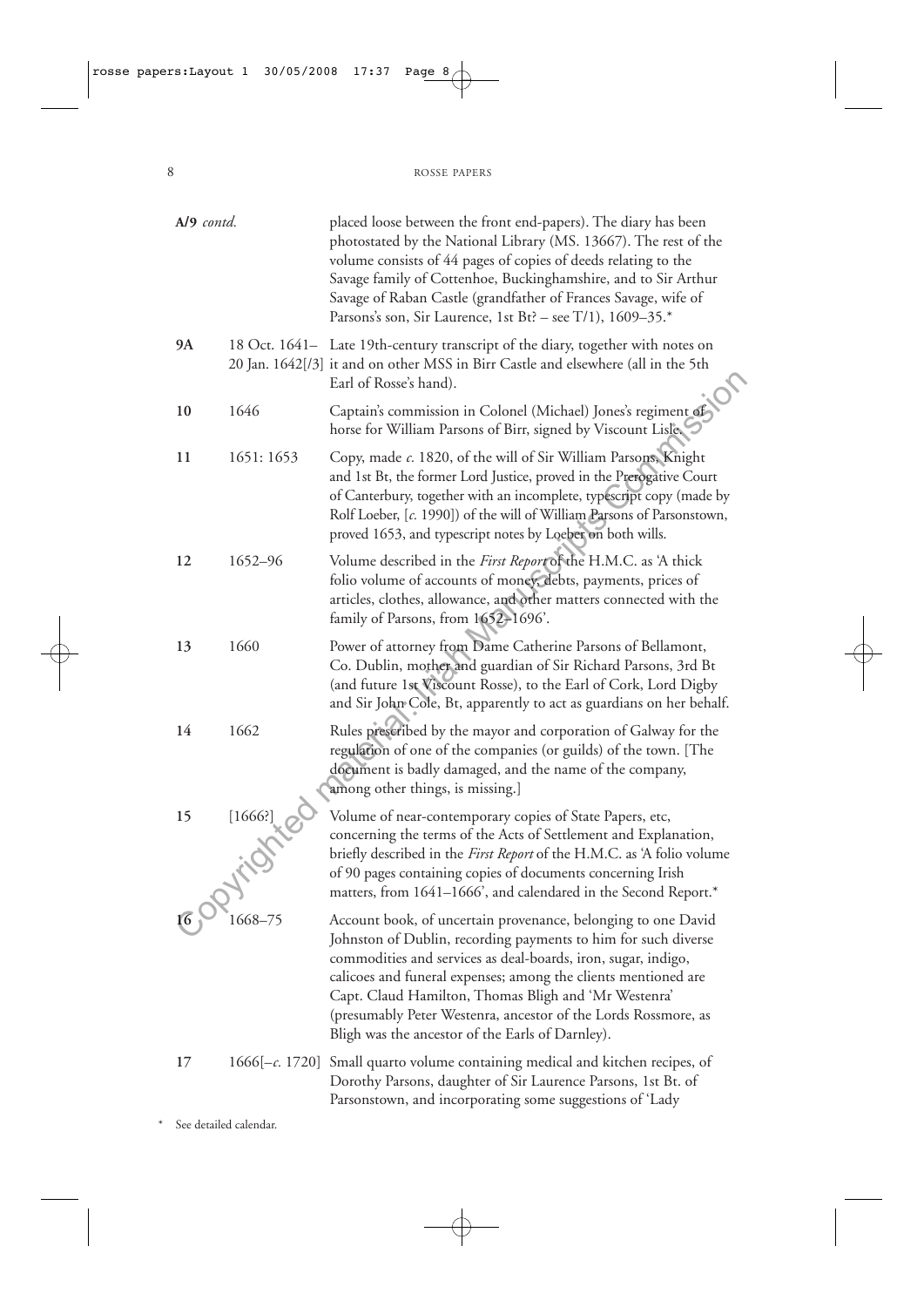| A/9 contd. |                        | placed loose between the front end-papers). The diary has been<br>photostated by the National Library (MS. 13667). The rest of the<br>volume consists of 44 pages of copies of deeds relating to the<br>Savage family of Cottenhoe, Buckinghamshire, and to Sir Arthur<br>Savage of Raban Castle (grandfather of Frances Savage, wife of<br>Parsons's son, Sir Laurence, 1st Bt? – see T/1), $1609-35.*$                                         |
|------------|------------------------|--------------------------------------------------------------------------------------------------------------------------------------------------------------------------------------------------------------------------------------------------------------------------------------------------------------------------------------------------------------------------------------------------------------------------------------------------|
| 9A         |                        | 18 Oct. 1641- Late 19th-century transcript of the diary, together with notes on<br>20 Jan. 1642[/3] it and on other MSS in Birr Castle and elsewhere (all in the 5th<br>Earl of Rosse's hand).                                                                                                                                                                                                                                                   |
| 10         | 1646                   | Captain's commission in Colonel (Michael) Jones's regiment of<br>horse for William Parsons of Birr, signed by Viscount Lisle                                                                                                                                                                                                                                                                                                                     |
| 11         | 1651: 1653             | Copy, made c. 1820, of the will of Sir William Parsons, Knight<br>and 1st Bt, the former Lord Justice, proved in the Prerogative Court<br>of Canterbury, together with an incomplete, typescript copy (made by<br>Rolf Loeber, [c. 1990]) of the will of William Parsons of Parsonstown,<br>proved 1653, and typescript notes by Loeber on both wills.                                                                                           |
| 12         | 1652-96                | Volume described in the First Report of the H.M.C. as 'A thick<br>folio volume of accounts of money, debts, payments, prices of<br>articles, clothes, allowance, and other matters connected with the<br>family of Parsons, from 1652-1696'.                                                                                                                                                                                                     |
| 13         | 1660                   | Power of attorney from Dame Catherine Parsons of Bellamont,<br>Co. Dublin, mother and guardian of Sir Richard Parsons, 3rd Bt<br>(and future 1st Viscount Rosse), to the Earl of Cork, Lord Digby<br>and Sir John Cole, Bt, apparently to act as guardians on her behalf.                                                                                                                                                                        |
| 14         | 1662                   | Rules prescribed by the mayor and corporation of Galway for the<br>regulation of one of the companies (or guilds) of the town. [The<br>document is badly damaged, and the name of the company,<br>among other things, is missing.]                                                                                                                                                                                                               |
| 15         | [1666]<br>201itd       | Volume of near-contemporary copies of State Papers, etc,<br>concerning the terms of the Acts of Settlement and Explanation,<br>briefly described in the <i>First Report</i> of the H.M.C. as 'A folio volume<br>of 90 pages containing copies of documents concerning Irish<br>matters, from 1641-1666', and calendared in the Second Report.*                                                                                                   |
| 16         | 1668-75                | Account book, of uncertain provenance, belonging to one David<br>Johnston of Dublin, recording payments to him for such diverse<br>commodities and services as deal-boards, iron, sugar, indigo,<br>calicoes and funeral expenses; among the clients mentioned are<br>Capt. Claud Hamilton, Thomas Bligh and 'Mr Westenra'<br>(presumably Peter Westenra, ancestor of the Lords Rossmore, as<br>Bligh was the ancestor of the Earls of Darnley). |
| 17         |                        | $1666[-c. 1720]$ Small quarto volume containing medical and kitchen recipes, of<br>Dorothy Parsons, daughter of Sir Laurence Parsons, 1st Bt. of<br>Parsonstown, and incorporating some suggestions of 'Lady                                                                                                                                                                                                                                     |
|            | See detailed calendar. |                                                                                                                                                                                                                                                                                                                                                                                                                                                  |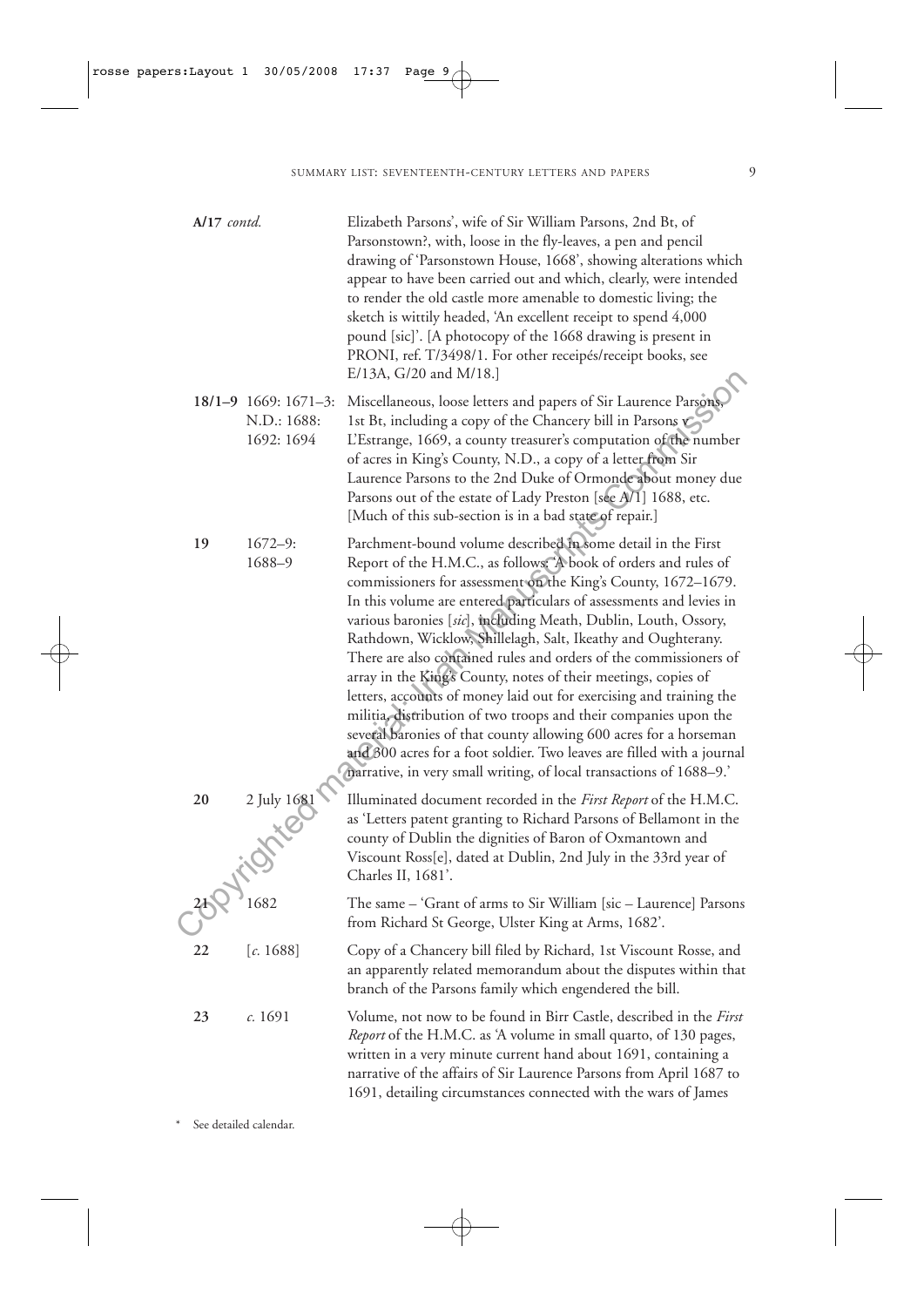| A/17 contd. |                                                   | Elizabeth Parsons', wife of Sir William Parsons, 2nd Bt, of<br>Parsonstown?, with, loose in the fly-leaves, a pen and pencil<br>drawing of 'Parsonstown House, 1668', showing alterations which<br>appear to have been carried out and which, clearly, were intended<br>to render the old castle more amenable to domestic living; the<br>sketch is wittily headed, 'An excellent receipt to spend 4,000<br>pound [sic]'. [A photocopy of the 1668 drawing is present in<br>PRONI, ref. T/3498/1. For other receipés/receipt books, see<br>E/13A, G/20 and M/18.]                                                                                                                                                                                                                                                                                                                                                   |
|-------------|---------------------------------------------------|---------------------------------------------------------------------------------------------------------------------------------------------------------------------------------------------------------------------------------------------------------------------------------------------------------------------------------------------------------------------------------------------------------------------------------------------------------------------------------------------------------------------------------------------------------------------------------------------------------------------------------------------------------------------------------------------------------------------------------------------------------------------------------------------------------------------------------------------------------------------------------------------------------------------|
|             | 18/1-9 1669: 1671-3:<br>N.D.: 1688:<br>1692: 1694 | Miscellaneous, loose letters and papers of Sir Laurence Parsons,<br>1st Bt, including a copy of the Chancery bill in Parsons C<br>L'Estrange, 1669, a county treasurer's computation of the number<br>of acres in King's County, N.D., a copy of a letter from Sir<br>Laurence Parsons to the 2nd Duke of Ormonde about money due<br>Parsons out of the estate of Lady Preston [see A/I] 1688, etc.<br>[Much of this sub-section is in a bad state of repair.]                                                                                                                                                                                                                                                                                                                                                                                                                                                      |
| 19          | $1672 - 9:$<br>1688-9                             | Parchment-bound volume described in some detail in the First<br>Report of the H.M.C., as follows: A book of orders and rules of<br>commissioners for assessment on the King's County, 1672-1679.<br>In this volume are entered particulars of assessments and levies in<br>various baronies [sic], including Meath, Dublin, Louth, Ossory,<br>Rathdown, Wicklow, Shillelagh, Salt, Ikeathy and Oughterany.<br>There are also contained rules and orders of the commissioners of<br>array in the King's County, notes of their meetings, copies of<br>letters, accounts of money laid out for exercising and training the<br>militia, distribution of two troops and their companies upon the<br>several baronies of that county allowing 600 acres for a horseman<br>and 800 acres for a foot soldier. Two leaves are filled with a journal<br>(narrative, in very small writing, of local transactions of 1688-9.) |
| 20          | 2 July 1681                                       | Illuminated document recorded in the First Report of the H.M.C.<br>as 'Letters patent granting to Richard Parsons of Bellamont in the<br>county of Dublin the dignities of Baron of Oxmantown and<br>Viscount Ross[e], dated at Dublin, 2nd July in the 33rd year of<br>Charles II, 1681'.                                                                                                                                                                                                                                                                                                                                                                                                                                                                                                                                                                                                                          |
|             |                                                   | The same - 'Grant of arms to Sir William [sic - Laurence] Parsons<br>from Richard St George, Ulster King at Arms, 1682'.                                                                                                                                                                                                                                                                                                                                                                                                                                                                                                                                                                                                                                                                                                                                                                                            |
| 22          | [c. 1688]                                         | Copy of a Chancery bill filed by Richard, 1st Viscount Rosse, and<br>an apparently related memorandum about the disputes within that<br>branch of the Parsons family which engendered the bill.                                                                                                                                                                                                                                                                                                                                                                                                                                                                                                                                                                                                                                                                                                                     |
| 23          | c. 1691                                           | Volume, not now to be found in Birr Castle, described in the First<br>Report of the H.M.C. as 'A volume in small quarto, of 130 pages,<br>written in a very minute current hand about 1691, containing a<br>narrative of the affairs of Sir Laurence Parsons from April 1687 to<br>1691, detailing circumstances connected with the wars of James                                                                                                                                                                                                                                                                                                                                                                                                                                                                                                                                                                   |

\* See detailed calendar.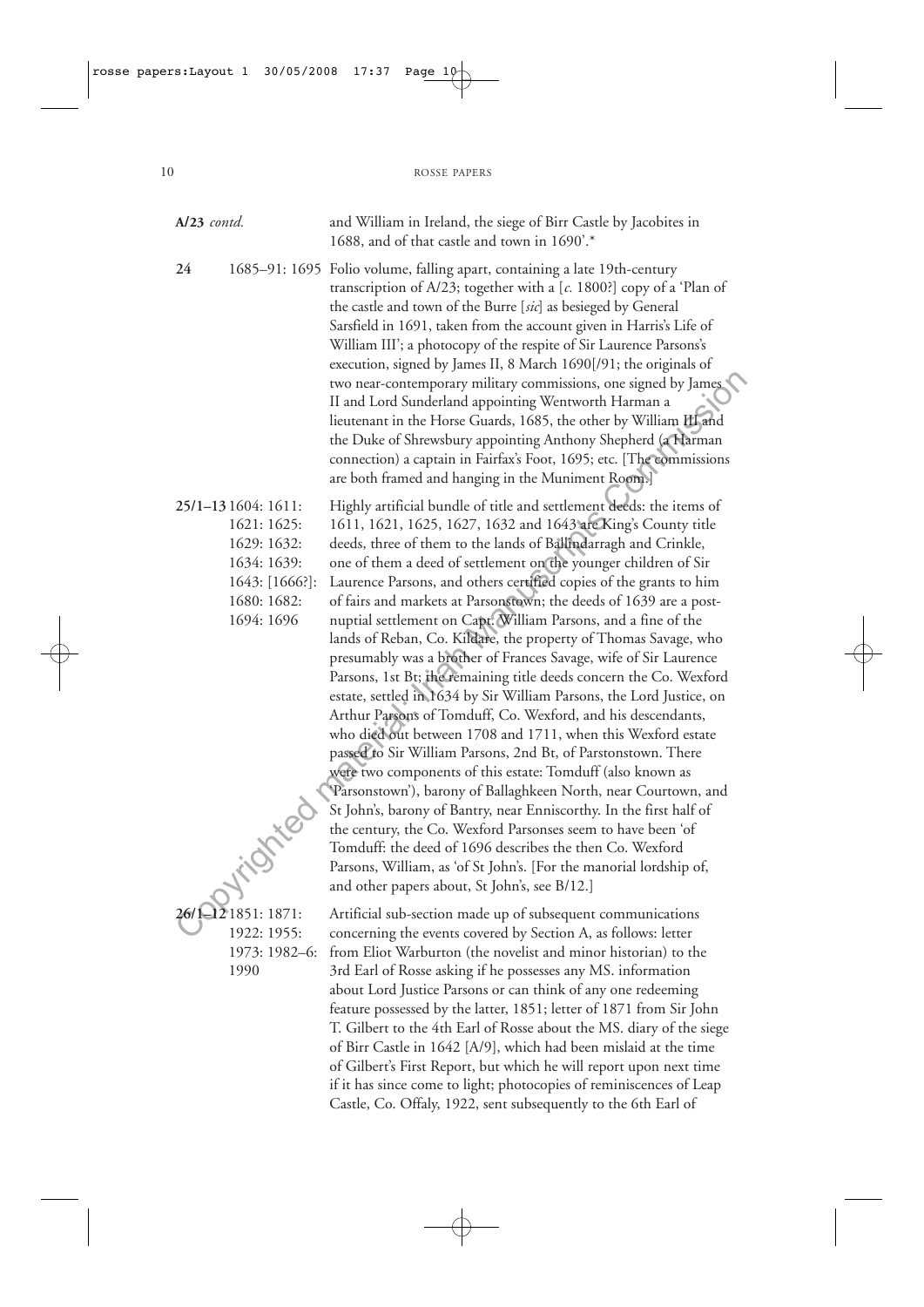| $A/23$ contd. |                                                                                                                | and William in Ireland, the siege of Birr Castle by Jacobites in<br>1688, and of that castle and town in 1690'.*                                                                                                                                                                                                                                                                                                                                                                                                                                                                                                                                                                                                                                                                                                                                                                                                                                                                                                                                                                                                                                                                                                                                                                                                                                                                                                                           |
|---------------|----------------------------------------------------------------------------------------------------------------|--------------------------------------------------------------------------------------------------------------------------------------------------------------------------------------------------------------------------------------------------------------------------------------------------------------------------------------------------------------------------------------------------------------------------------------------------------------------------------------------------------------------------------------------------------------------------------------------------------------------------------------------------------------------------------------------------------------------------------------------------------------------------------------------------------------------------------------------------------------------------------------------------------------------------------------------------------------------------------------------------------------------------------------------------------------------------------------------------------------------------------------------------------------------------------------------------------------------------------------------------------------------------------------------------------------------------------------------------------------------------------------------------------------------------------------------|
| 24            |                                                                                                                | 1685–91: 1695 Folio volume, falling apart, containing a late 19th-century<br>transcription of A/23; together with a $[c. 1800!]$ copy of a 'Plan of<br>the castle and town of the Burre [sic] as besieged by General<br>Sarsfield in 1691, taken from the account given in Harris's Life of<br>William III'; a photocopy of the respite of Sir Laurence Parsons's<br>execution, signed by James II, 8 March 1690[/91; the originals of<br>two near-contemporary military commissions, one signed by James<br>II and Lord Sunderland appointing Wentworth Harman a<br>lieutenant in the Horse Guards, 1685, the other by William III and<br>the Duke of Shrewsbury appointing Anthony Shepherd (a Harman<br>connection) a captain in Fairfax's Foot, 1695; etc. [The commissions<br>are both framed and hanging in the Muniment Room.]                                                                                                                                                                                                                                                                                                                                                                                                                                                                                                                                                                                                      |
|               | 25/1-13 1604: 1611:<br>1621:1625:<br>1629: 1632:<br>1634: 1639:<br>1643: [1666?]:<br>1680: 1682:<br>1694: 1696 | Highly artificial bundle of title and settlement deeds: the items of<br>1611, 1621, 1625, 1627, 1632 and 1643 are King's County title<br>deeds, three of them to the lands of Ballindarragh and Crinkle,<br>one of them a deed of settlement on the younger children of Sir<br>Laurence Parsons, and others certified copies of the grants to him<br>of fairs and markets at Parsonstown; the deeds of 1639 are a post-<br>nuptial settlement on Capt. William Parsons, and a fine of the<br>lands of Reban, Co. Kildare, the property of Thomas Savage, who<br>presumably was a brother of Frances Savage, wife of Sir Laurence<br>Parsons, 1st Bt; the remaining title deeds concern the Co. Wexford<br>estate, settled in 1634 by Sir William Parsons, the Lord Justice, on<br>Arthur Parsons of Tomduff, Co. Wexford, and his descendants,<br>who died out between 1708 and 1711, when this Wexford estate<br>passed to Sir William Parsons, 2nd Bt, of Parstonstown. There<br>were two components of this estate: Tomduff (also known as<br>'Parsonstown'), barony of Ballaghkeen North, near Courtown, and<br>St John's, barony of Bantry, near Enniscorthy. In the first half of<br>the century, the Co. Wexford Parsonses seem to have been 'of<br>Tomduff: the deed of 1696 describes the then Co. Wexford<br>Parsons, William, as 'of St John's. [For the manorial lordship of,<br>and other papers about, St John's, see B/12.] |
|               | 26/1-12 1851: 1871:<br>1922: 1955:<br>1973: 1982-6:<br>1990                                                    | Artificial sub-section made up of subsequent communications<br>concerning the events covered by Section A, as follows: letter<br>from Eliot Warburton (the novelist and minor historian) to the<br>3rd Earl of Rosse asking if he possesses any MS. information<br>about Lord Justice Parsons or can think of any one redeeming<br>feature possessed by the latter, 1851; letter of 1871 from Sir John<br>T. Gilbert to the 4th Earl of Rosse about the MS. diary of the siege<br>of Birr Castle in 1642 [A/9], which had been mislaid at the time<br>of Gilbert's First Report, but which he will report upon next time<br>if it has since come to light; photocopies of reminiscences of Leap                                                                                                                                                                                                                                                                                                                                                                                                                                                                                                                                                                                                                                                                                                                                            |

Castle, Co. Offaly, 1922, sent subsequently to the 6th Earl of